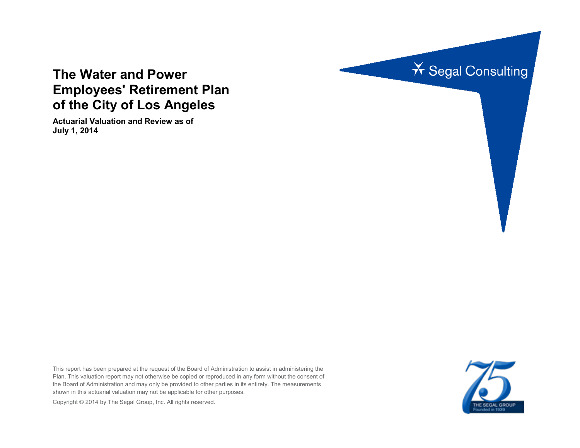

# **The Water and Power Employees' Retirement Plan of the City of Los Angeles**

**Actuarial Valuation and Review as of July 1, 2014**

This report has been prepared at the request of the Board of Administration to assist in administering the Plan. This valuation report may not otherwise be copied or reproduced in any form without the consent of the Board of Administration and may only be provided to other parties in its entirety. The measurements shown in this actuarial valuation may not be applicable for other purposes.

THE SEGAL GROUP

Copyright © 2014 by The Segal Group, Inc. All rights reserved.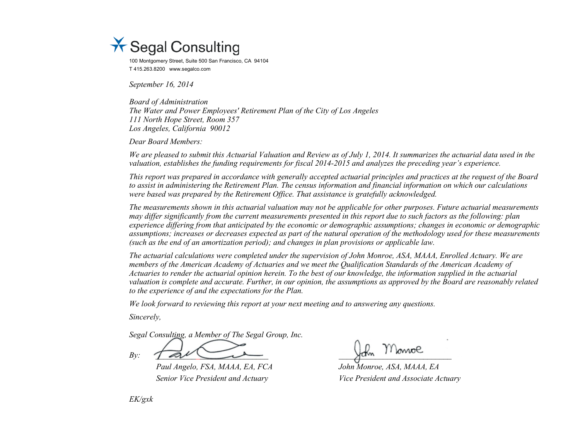

100 Montgomery Street, Suite 500 San Francisco, CA 94104 T 415.263.8200 www.segalco.com

*September 16, 2014*

*Board of Administration The Water and Power Employees' Retirement Plan of the City of Los Angeles 111 North Hope Street, Room 357 Los Angeles, California 90012*

*Dear Board Members:*

*We are pleased to submit this Actuarial Valuation and Review as of July 1, 2014. It summarizes the actuarial data used in the valuation, establishes the funding requirements for fiscal 2014-2015 and analyzes the preceding year's experience.* 

*This report was prepared in accordance with generally accepted actuarial principles and practices at the request of the Board to assist in administering the Retirement Plan. The census information and financial information on which our calculations were based was prepared by the Retirement Office. That assistance is gratefully acknowledged.* 

*The measurements shown in this actuarial valuation may not be applicable for other purposes. Future actuarial measurements may differ significantly from the current measurements presented in this report due to such factors as the following: plan experience differing from that anticipated by the economic or demographic assumptions; changes in economic or demographic assumptions; increases or decreases expected as part of the natural operation of the methodology used for these measurements (such as the end of an amortization period); and changes in plan provisions or applicable law.*

*The actuarial calculations were completed under the supervision of John Monroe, ASA, MAAA, Enrolled Actuary. We are members of the American Academy of Actuaries and we meet the Qualification Standards of the American Academy of Actuaries to render the actuarial opinion herein. To the best of our knowledge, the information supplied in the actuarial valuation is complete and accurate. Further, in our opinion, the assumptions as approved by the Board are reasonably related to the experience of and the expectations for the Plan.*

*We look forward to reviewing this report at your next meeting and to answering any questions.*

*Sincerely,*

*Segal Consulting, a Member of The Segal Group, Inc.*

 $By: \t\t\int \mathscr{A} \mathscr{U}$ 

*Paul Angelo, FSA, MAAA, EA, FCA John Monroe, ASA, MAAA, EA Senior Vice President and Actuary Vice President and Associate Actuary*

*EK/gxk*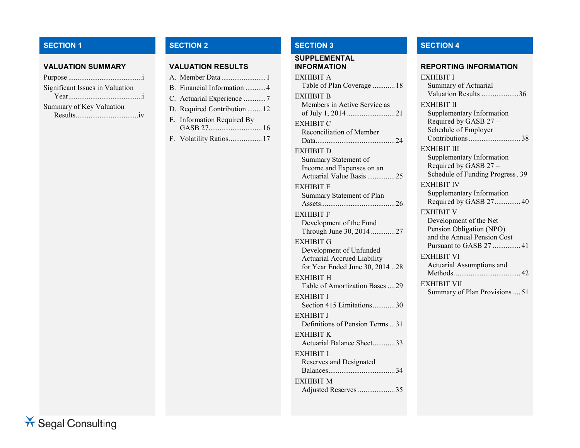# **SECTION 1 SECTION 2 SECTION 3 SECTION 4**

# **VALUATION SUMMARY VALUATION RESULTS**

| Significant Issues in Valuation |  |
|---------------------------------|--|
|                                 |  |
| Summary of Key Valuation        |  |
| $Results$ $iv$                  |  |

| A. Member Data 1             |
|------------------------------|
| B. Financial Information  4  |
| C. Actuarial Experience 7    |
| D. Required Contribution  12 |
| E. Information Required By   |
|                              |
| F. Volatility Ratios 17      |

EXHIBIT M

Adjusted Reserves ....................35

# **SUPPLEMENTAL**

| EXHIBIT A<br>Table of Plan Coverage  18                                                                      | E <sub>2</sub> |
|--------------------------------------------------------------------------------------------------------------|----------------|
| EXHIBIT B<br>Members in Active Service as                                                                    | E2             |
| EXHIBIT C<br>Reconciliation of Member                                                                        |                |
| EXHIBIT D<br>Summary Statement of<br>Income and Expenses on an<br>Actuarial Value Basis 25                   | E)             |
| EXHIBIT E<br>Summary Statement of Plan                                                                       | E)             |
| EXHIBIT F<br>Development of the Fund<br>Through June 30, 2014 27                                             | E)             |
| EXHIBIT G<br>Development of Unfunded<br><b>Actuarial Accrued Liability</b><br>for Year Ended June 30, 201428 | E)             |
| EXHIBIT H<br>Table of Amortization Bases 29                                                                  | E)             |
| EXHIBIT I<br>Section 415 Limitations30                                                                       |                |
| EXHIBIT J<br>Definitions of Pension Terms31                                                                  |                |
| EXHIBIT K<br>Actuarial Balance Sheet33                                                                       |                |
| EXHIBIT L<br>Reserves and Designated                                                                         |                |

#### **INFORMATION REPORTING INFORMATION**

| <b>EXHIBIT I</b>                                                           |
|----------------------------------------------------------------------------|
| Summary of Actuarial                                                       |
| Valuation Results 36                                                       |
| EXHIBIT II                                                                 |
| Supplementary Information<br>Required by GASB 27 -<br>Schedule of Employer |
| EXHIBIT III                                                                |
| Supplementary Information                                                  |
| Required by GASB 27 -                                                      |
| Schedule of Funding Progress. 39                                           |
| <b>EXHIBIT IV</b>                                                          |
| Supplementary Information                                                  |
| Required by GASB 27 40                                                     |
| <b>EXHIBIT V</b>                                                           |
| Development of the Net                                                     |
| Pension Obligation (NPO)                                                   |
| and the Annual Pension Cost                                                |
| Pursuant to GASB 27  41                                                    |
| <b>EXHIBIT VI</b>                                                          |
| Actuarial Assumptions and                                                  |
|                                                                            |
| EXHIBIT VII                                                                |
| Summary of Plan Provisions  51                                             |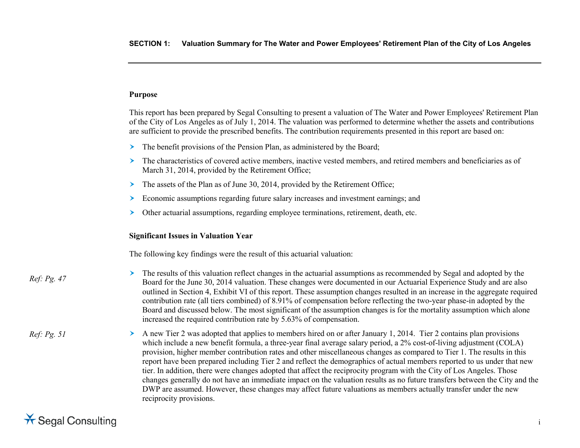# **Purpose**

This report has been prepared by Segal Consulting to present a valuation of The Water and Power Employees' Retirement Plan of the City of Los Angeles as of July 1, 2014. The valuation was performed to determine whether the assets and contributions are sufficient to provide the prescribed benefits. The contribution requirements presented in this report are based on:

- The benefit provisions of the Pension Plan, as administered by the Board;
- The characteristics of covered active members, inactive vested members, and retired members and beneficiaries as of March 31, 2014, provided by the Retirement Office;
- The assets of the Plan as of June 30, 2014, provided by the Retirement Office;
- Economic assumptions regarding future salary increases and investment earnings; and
- $\triangleright$  Other actuarial assumptions, regarding employee terminations, retirement, death, etc.

#### **Significant Issues in Valuation Year**

The following key findings were the result of this actuarial valuation:

*Ref: Pg. 47*

- $\geq$  The results of this valuation reflect changes in the actuarial assumptions as recommended by Segal and adopted by the Board for the June 30, 2014 valuation. These changes were documented in our Actuarial Experience Study and are also outlined in Section 4, Exhibit VI of this report. These assumption changes resulted in an increase in the aggregate required contribution rate (all tiers combined) of 8.91% of compensation before reflecting the two-year phase-in adopted by the Board and discussed below. The most significant of the assumption changes is for the mortality assumption which alone increased the required contribution rate by 5.63% of compensation.
- $\geq$  A new Tier 2 was adopted that applies to members hired on or after January 1, 2014. Tier 2 contains plan provisions which include a new benefit formula, a three-year final average salary period, a 2% cost-of-living adjustment (COLA) provision, higher member contribution rates and other miscellaneous changes as compared to Tier 1. The results in this report have been prepared including Tier 2 and reflect the demographics of actual members reported to us under that new tier. In addition, there were changes adopted that affect the reciprocity program with the City of Los Angeles. Those changes generally do not have an immediate impact on the valuation results as no future transfers between the City and the DWP are assumed. However, these changes may affect future valuations as members actually transfer under the new reciprocity provisions. *Ref: Pg. 51*

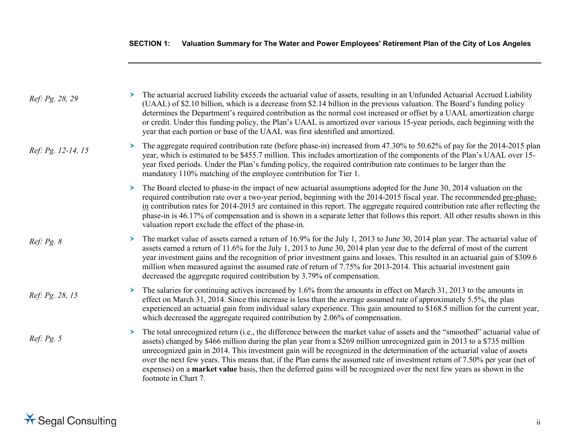| Ref: Pg. 28, 29    |   | The actuarial accrued liability exceeds the actuarial value of assets, resulting in an Unfunded Actuarial Accrued Liability<br>(UAAL) of \$2.10 billion, which is a decrease from \$2.14 billion in the previous valuation. The Board's funding policy<br>determines the Department's required contribution as the normal cost increased or offset by a UAAL amortization charge<br>or credit. Under this funding policy, the Plan's UAAL is amortized over various 15-year periods, each beginning with the<br>year that each portion or base of the UAAL was first identified and amortized.                                                                             |
|--------------------|---|----------------------------------------------------------------------------------------------------------------------------------------------------------------------------------------------------------------------------------------------------------------------------------------------------------------------------------------------------------------------------------------------------------------------------------------------------------------------------------------------------------------------------------------------------------------------------------------------------------------------------------------------------------------------------|
| Ref: Pg. 12-14, 15 |   | The aggregate required contribution rate (before phase-in) increased from 47.30% to 50.62% of pay for the 2014-2015 plan<br>year, which is estimated to be \$455.7 million. This includes amortization of the components of the Plan's UAAL over 15-<br>year fixed periods. Under the Plan's funding policy, the required contribution rate continues to be larger than the<br>mandatory 110% matching of the employee contribution for Tier 1.                                                                                                                                                                                                                            |
|                    | ➤ | The Board elected to phase-in the impact of new actuarial assumptions adopted for the June 30, 2014 valuation on the<br>required contribution rate over a two-year period, beginning with the 2014-2015 fiscal year. The recommended pre-phase-<br>$\frac{\text{in}}{\text{in}}$ contribution rates for 2014-2015 are contained in this report. The aggregate required contribution rate after reflecting the<br>phase-in is 46.17% of compensation and is shown in a separate letter that follows this report. All other results shown in this<br>valuation report exclude the effect of the phase-in.                                                                    |
| Ref: Pg. 8         |   | The market value of assets earned a return of 16.9% for the July 1, 2013 to June 30, 2014 plan year. The actuarial value of<br>assets earned a return of 11.6% for the July 1, 2013 to June 30, 2014 plan year due to the deferral of most of the current<br>year investment gains and the recognition of prior investment gains and losses. This resulted in an actuarial gain of \$309.6<br>million when measured against the assumed rate of return of 7.75% for 2013-2014. This actuarial investment gain<br>decreased the aggregate required contribution by 3.79% of compensation.                                                                                   |
| Ref: Pg. 28, 15    |   | The salaries for continuing actives increased by 1.6% from the amounts in effect on March 31, 2013 to the amounts in<br>effect on March 31, 2014. Since this increase is less than the average assumed rate of approximately 5.5%, the plan<br>experienced an actuarial gain from individual salary experience. This gain amounted to \$168.5 million for the current year,<br>which decreased the aggregate required contribution by 2.06% of compensation.                                                                                                                                                                                                               |
| Ref: Pg. 5         | ➤ | The total unrecognized return (i.e., the difference between the market value of assets and the "smoothed" actuarial value of<br>assets) changed by \$466 million during the plan year from a \$269 million unrecognized gain in 2013 to a \$735 million<br>unrecognized gain in 2014. This investment gain will be recognized in the determination of the actuarial value of assets<br>over the next few years. This means that, if the Plan earns the assumed rate of investment return of 7.50% per year (net of<br>expenses) on a <b>market value</b> basis, then the deferred gains will be recognized over the next few years as shown in the<br>footnote in Chart 7. |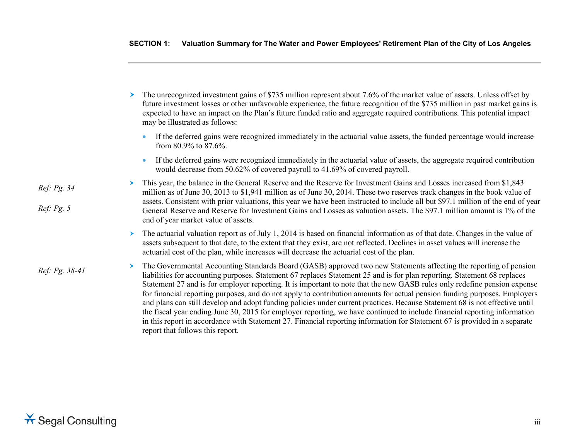|                | The unrecognized investment gains of \$735 million represent about 7.6% of the market value of assets. Unless offset by<br>future investment losses or other unfavorable experience, the future recognition of the \$735 million in past market gains is<br>expected to have an impact on the Plan's future funded ratio and aggregate required contributions. This potential impact<br>may be illustrated as follows:                                                                                                                                                                                                                                                                                                                                                                                                                                                                                                                |
|----------------|---------------------------------------------------------------------------------------------------------------------------------------------------------------------------------------------------------------------------------------------------------------------------------------------------------------------------------------------------------------------------------------------------------------------------------------------------------------------------------------------------------------------------------------------------------------------------------------------------------------------------------------------------------------------------------------------------------------------------------------------------------------------------------------------------------------------------------------------------------------------------------------------------------------------------------------|
|                | If the deferred gains were recognized immediately in the actuarial value assets, the funded percentage would increase<br>from 80.9% to 87.6%.                                                                                                                                                                                                                                                                                                                                                                                                                                                                                                                                                                                                                                                                                                                                                                                         |
|                | If the deferred gains were recognized immediately in the actuarial value of assets, the aggregate required contribution<br>would decrease from 50.62% of covered payroll to 41.69% of covered payroll.                                                                                                                                                                                                                                                                                                                                                                                                                                                                                                                                                                                                                                                                                                                                |
| Ref: Pg. 34    | This year, the balance in the General Reserve and the Reserve for Investment Gains and Losses increased from \$1,843<br>million as of June 30, 2013 to \$1,941 million as of June 30, 2014. These two reserves track changes in the book value of                                                                                                                                                                                                                                                                                                                                                                                                                                                                                                                                                                                                                                                                                     |
| Ref: Pg. 5     | assets. Consistent with prior valuations, this year we have been instructed to include all but \$97.1 million of the end of year<br>General Reserve and Reserve for Investment Gains and Losses as valuation assets. The \$97.1 million amount is 1% of the<br>end of year market value of assets.                                                                                                                                                                                                                                                                                                                                                                                                                                                                                                                                                                                                                                    |
|                | The actuarial valuation report as of July 1, 2014 is based on financial information as of that date. Changes in the value of<br>assets subsequent to that date, to the extent that they exist, are not reflected. Declines in asset values will increase the<br>actuarial cost of the plan, while increases will decrease the actuarial cost of the plan.                                                                                                                                                                                                                                                                                                                                                                                                                                                                                                                                                                             |
| Ref: Pg. 38-41 | The Governmental Accounting Standards Board (GASB) approved two new Statements affecting the reporting of pension<br>liabilities for accounting purposes. Statement 67 replaces Statement 25 and is for plan reporting. Statement 68 replaces<br>Statement 27 and is for employer reporting. It is important to note that the new GASB rules only redefine pension expense<br>for financial reporting purposes, and do not apply to contribution amounts for actual pension funding purposes. Employers<br>and plans can still develop and adopt funding policies under current practices. Because Statement 68 is not effective until<br>the fiscal year ending June 30, 2015 for employer reporting, we have continued to include financial reporting information<br>in this report in accordance with Statement 27. Financial reporting information for Statement 67 is provided in a separate<br>report that follows this report. |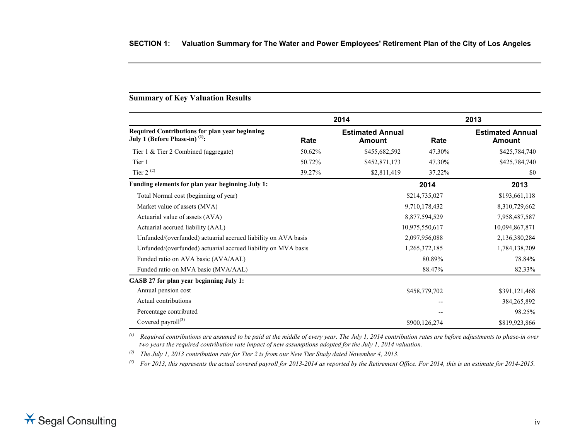# **Summary of Key Valuation Results**

|                                                                                             |        | 2014                                     |                | 2013                                     |
|---------------------------------------------------------------------------------------------|--------|------------------------------------------|----------------|------------------------------------------|
| Required Contributions for plan year beginning<br>July 1 (Before Phase-in) <sup>(1)</sup> : | Rate   | <b>Estimated Annual</b><br><b>Amount</b> | Rate           | <b>Estimated Annual</b><br><b>Amount</b> |
| Tier $1 \&$ Tier 2 Combined (aggregate)                                                     | 50.62% | \$455,682,592                            | 47.30%         | \$425,784,740                            |
| Tier 1                                                                                      | 50.72% | \$452,871,173                            | 47.30%         | \$425,784,740                            |
| Tier $2^{(2)}$                                                                              | 39.27% | \$2,811,419                              | 37.22%         | \$0                                      |
| Funding elements for plan year beginning July 1:                                            |        |                                          | 2014           | 2013                                     |
| Total Normal cost (beginning of year)                                                       |        |                                          | \$214,735,027  | \$193,661,118                            |
| Market value of assets (MVA)                                                                |        |                                          | 9,710,178,432  | 8,310,729,662                            |
| Actuarial value of assets (AVA)                                                             |        |                                          | 8,877,594,529  | 7,958,487,587                            |
| Actuarial accrued liability (AAL)                                                           |        |                                          | 10,975,550,617 | 10,094,867,871                           |
| Unfunded/(overfunded) actuarial accrued liability on AVA basis                              |        | 2,097,956,088                            |                | 2,136,380,284                            |
| Unfunded/(overfunded) actuarial accrued liability on MVA basis                              |        |                                          | 1,265,372,185  | 1,784,138,209                            |
| Funded ratio on AVA basic (AVA/AAL)                                                         |        |                                          | 80.89%         | 78.84%                                   |
| Funded ratio on MVA basic (MVA/AAL)                                                         |        |                                          | 88.47%         | 82.33%                                   |
| GASB 27 for plan year beginning July 1:                                                     |        |                                          |                |                                          |
| Annual pension cost                                                                         |        |                                          | \$458,779,702  | \$391,121,468                            |
| Actual contributions                                                                        |        |                                          |                | 384,265,892                              |
| Percentage contributed                                                                      |        |                                          |                | 98.25%                                   |
| Covered payroll $^{(3)}$                                                                    |        |                                          | \$900,126,274  | \$819,923,866                            |

*(1) Required contributions are assumed to be paid at the middle of every year. The July 1, 2014 contribution rates are before adjustments to phase-in over two years the required contribution rate impact of new assumptions adopted for the July 1, 2014 valuation.*

*(2) The July 1, 2013 contribution rate for Tier 2 is from our New Tier Study dated November 4, 2013.*

*(3) For 2013, this represents the actual covered payroll for 2013-2014 as reported by the Retirement Office. For 2014, this is an estimate for 2014-2015.*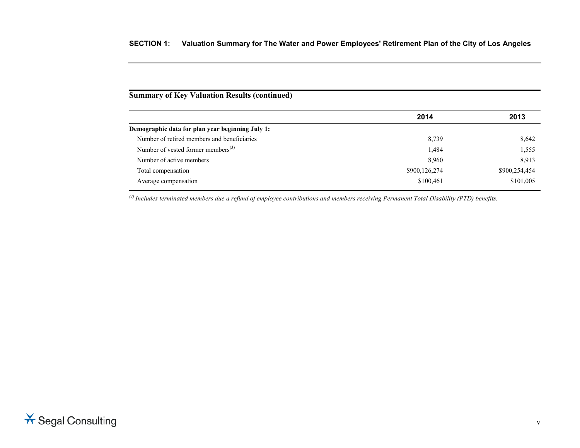# **Summary of Key Valuation Results (continued)**

|                                                  | 2014          | 2013          |
|--------------------------------------------------|---------------|---------------|
| Demographic data for plan year beginning July 1: |               |               |
| Number of retired members and beneficiaries      | 8,739         | 8,642         |
| Number of vested former members $^{(3)}$         | 1,484         | 1,555         |
| Number of active members                         | 8,960         | 8.913         |
| Total compensation                               | \$900,126,274 | \$900,254,454 |
| Average compensation                             | \$100,461     | \$101,005     |
|                                                  |               |               |

<sup>(3)</sup> Includes terminated members due a refund of employee contributions and members receiving Permanent Total Disability (PTD) benefits.

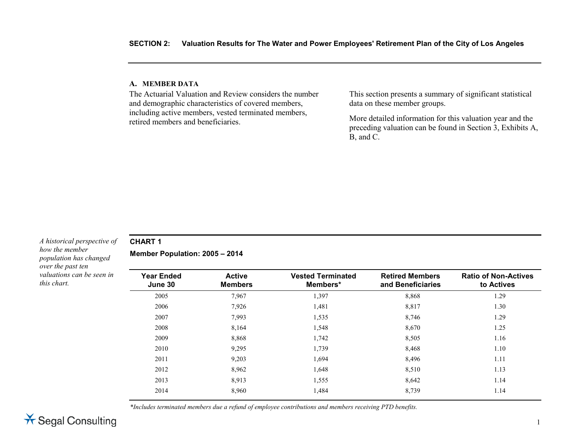#### **A. MEMBER DATA**

The Actuarial Valuation and Review considers the number and demographic characteristics of covered members, including active members, vested terminated members, retired members and beneficiaries.

This section presents a summary of significant statistical data on these member groups.

More detailed information for this valuation year and the preceding valuation can be found in Section 3, Exhibits A, B, and C.

#### *A historical perspective of how the member population has changed over the past ten valuations can be seen in this chart.*

# **CHART 1**

**Member Population: 2005 – 2014**

| <b>Year Ended</b><br>June 30 | <b>Active</b><br><b>Members</b> | <b>Vested Terminated</b><br>Members* | <b>Retired Members</b><br>and Beneficiaries | <b>Ratio of Non-Actives</b><br>to Actives |
|------------------------------|---------------------------------|--------------------------------------|---------------------------------------------|-------------------------------------------|
| 2005                         | 7,967                           | 1,397                                | 8,868                                       | 1.29                                      |
| 2006                         | 7,926                           | 1,481                                | 8,817                                       | 1.30                                      |
| 2007                         | 7.993                           | 1,535                                | 8,746                                       | 1.29                                      |
| 2008                         | 8,164                           | 1,548                                | 8,670                                       | 1.25                                      |
| 2009                         | 8,868                           | 1,742                                | 8,505                                       | 1.16                                      |
| 2010                         | 9.295                           | 1,739                                | 8,468                                       | 1.10                                      |
| 2011                         | 9,203                           | 1,694                                | 8,496                                       | 1.11                                      |
| 2012                         | 8,962                           | 1,648                                | 8,510                                       | 1.13                                      |
| 2013                         | 8.913                           | 1,555                                | 8,642                                       | 1.14                                      |
| 2014                         | 8,960                           | 1,484                                | 8,739                                       | 1.14                                      |

*\*Includes terminated members due a refund of employee contributions and members receiving PTD benefits.*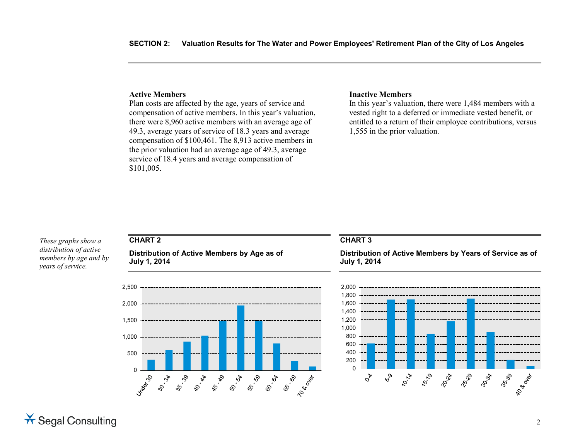#### **Active Members**

Plan costs are affected by the age, years of service and compensation of active members. In this year's valuation, there were 8,960 active members with an average age of 49.3, average years of service of 18.3 years and average compensation of \$100,461. The 8,913 active members in the prior valuation had an average age of 49.3, average service of 18.4 years and average compensation of \$101,005.

#### **Inactive Members**

In this year's valuation, there were 1,484 members with a vested right to a deferred or immediate vested benefit, or entitled to a return of their employee contributions, versus 1,555 in the prior valuation.

*These graphs show a distribution of active members by age and by years of service.*

# **CHART 2**

**Distribution of Active Members by Age as of July 1, 2014**



#### **CHART 3**

**Distribution of Active Members by Years of Service as of July 1, 2014**

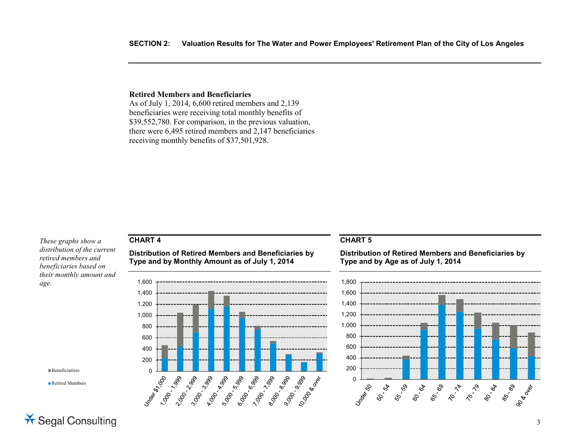#### **Retired Members and Beneficiaries**

As of July 1, 2014, 6,600 retired members and 2,139 beneficiaries were receiving total monthly benefits of \$39,552,780. For comparison, in the previous valuation, there were 6,495 retired members and 2,147 beneficiaries receiving monthly benefits of \$37,501,928.

*These graphs show a distribution of the current retired members and beneficiaries based on their monthly amount and age.*

**CHART 4**

**Beneficiarires** 

■Retired Members

#### **Distribution of Retired Members and Beneficiaries by Type and by Monthly Amount as of July 1, 2014**



#### **CHART 5**

**Distribution of Retired Members and Beneficiaries by Type and by Age as of July 1, 2014**



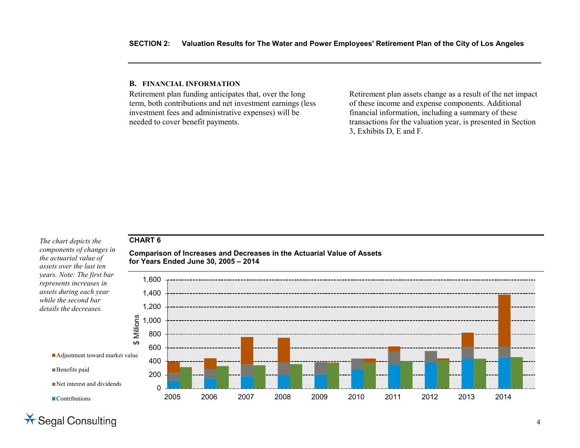#### **B. FINANCIAL INFORMATION**

Retirement plan funding anticipates that, over the long term, both contributions and net investment earnings (less investment fees and administrative expenses) will be needed to cover benefit payments.

Retirement plan assets change as a result of the net impact of these income and expense components. Additional financial information, including a summary of these transactions for the valuation year, is presented in Section 3, Exhibits D, E and F.

# **CHART 6**

**Comparison of Increases and Decreases in the Actuarial Value of Assets for Years Ended June 30, 2005 – 2014**



*The chart depicts the components of changes in the actuarial value of assets over the last ten years. Note: The first bar represents increases in assets during each year while the second bar details the decreases.*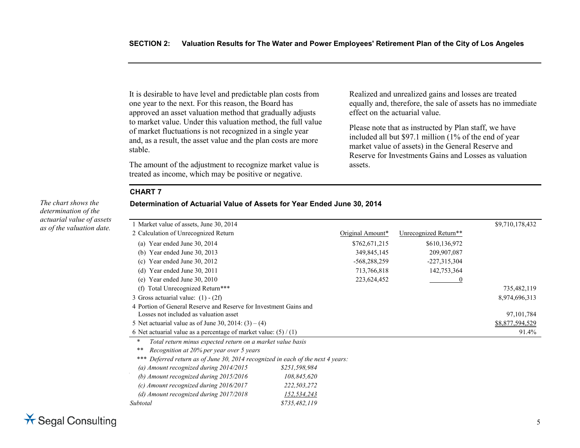It is desirable to have level and predictable plan costs from one year to the next. For this reason, the Board has approved an asset valuation method that gradually adjusts to market value. Under this valuation method, the full value of market fluctuations is not recognized in a single year and, as a result, the asset value and the plan costs are more stable.

The amount of the adjustment to recognize market value is treated as income, which may be positive or negative.

Realized and unrealized gains and losses are treated equally and, therefore, the sale of assets has no immediate effect on the actuarial value.

Please note that as instructed by Plan staff, we have included all but \$97.1 million (1% of the end of year market value of assets) in the General Reserve and Reserve for Investments Gains and Losses as valuation assets.

#### **CHART 7**

# **Determination of Actuarial Value of Assets for Year Ended June 30, 2014**

| 1 Market value of assets, June 30, 2014                                         |                  |                       | \$9,710,178,432 |
|---------------------------------------------------------------------------------|------------------|-----------------------|-----------------|
| 2 Calculation of Unrecognized Return                                            | Original Amount* | Unrecognized Return** |                 |
| Year ended June 30, 2014<br>(a)                                                 | \$762,671,215    | \$610,136,972         |                 |
| Year ended June 30, 2013<br>(b)                                                 | 349,845,145      | 209,907,087           |                 |
| Year ended June 30, 2012<br>(c)                                                 | $-568,288,259$   | $-227,315,304$        |                 |
| Year ended June 30, 2011<br>(d)                                                 | 713,766,818      | 142,753,364           |                 |
| Year ended June 30, 2010<br>(e)                                                 | 223,624,452      |                       |                 |
| Total Unrecognized Return***<br>(f)                                             |                  |                       | 735,482,119     |
| 3 Gross actuarial value: $(1) - (2f)$                                           |                  |                       | 8,974,696,313   |
| 4 Portion of General Reserve and Reserve for Investment Gains and               |                  |                       |                 |
| Losses not included as valuation asset                                          |                  |                       | 97, 101, 784    |
| 5 Net actuarial value as of June 30, 2014: $(3) - (4)$                          |                  |                       | \$8,877,594,529 |
| 6 Net actuarial value as a percentage of market value: $(5) / (1)$              |                  |                       | 91.4%           |
| $\ast$<br>Total return minus expected return on a market value basis            |                  |                       |                 |
| Recognition at 20% per year over 5 years<br>**                                  |                  |                       |                 |
| *** Deferred return as of June 30, 2014 recognized in each of the next 4 years: |                  |                       |                 |
| (a) Amount recognized during 2014/2015                                          | \$251,598,984    |                       |                 |
| (b) Amount recognized during 2015/2016                                          | 108,845,620      |                       |                 |
| (c) Amount recognized during 2016/2017                                          | 222,503,272      |                       |                 |
| (d) Amount recognized during $2017/2018$                                        | 152,534,243      |                       |                 |
| Subtotal                                                                        | \$735,482,119    |                       |                 |

*The chart shows the determination of the actuarial value of assets as of the valuation date.*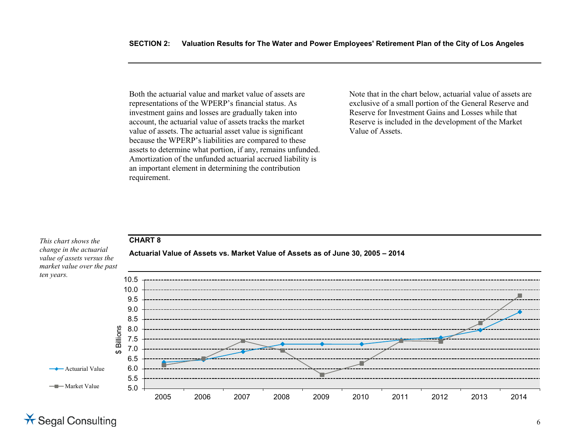Both the actuarial value and market value of assets are representations of the WPERP's financial status. As investment gains and losses are gradually taken into account, the actuarial value of assets tracks the market value of assets. The actuarial asset value is significant because the WPERP's liabilities are compared to these assets to determine what portion, if any, remains unfunded. Amortization of the unfunded actuarial accrued liability is an important element in determining the contribution requirement.

Note that in the chart below, actuarial value of assets are exclusive of a small portion of the General Reserve and Reserve for Investment Gains and Losses while that Reserve is included in the development of the Market Value of Assets.

# **CHART 8**

*This chart shows the change in the actuarial value of assets versus the market value over the past ten years.*



**Actuarial Value of Assets vs. Market Value of Assets as of June 30, 2005 – 2014**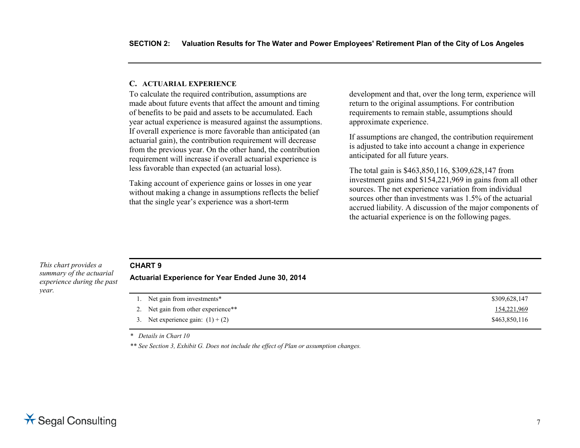#### **C. ACTUARIAL EXPERIENCE**

To calculate the required contribution, assumptions are made about future events that affect the amount and timing of benefits to be paid and assets to be accumulated. Each year actual experience is measured against the assumptions. If overall experience is more favorable than anticipated (an actuarial gain), the contribution requirement will decrease from the previous year. On the other hand, the contribution requirement will increase if overall actuarial experience is less favorable than expected (an actuarial loss).

Taking account of experience gains or losses in one year without making a change in assumptions reflects the belief that the single year's experience was a short-term

development and that, over the long term, experience will return to the original assumptions. For contribution requirements to remain stable, assumptions should approximate experience.

If assumptions are changed, the contribution requirement is adjusted to take into account a change in experience anticipated for all future years.

The total gain is \$463,850,116, \$309,628,147 from investment gains and \$154,221,969 in gains from all other sources. The net experience variation from individual sources other than investments was 1.5% of the actuarial accrued liability. A discussion of the major components of the actuarial experience is on the following pages.

#### *This chart provides a summary of the actuarial experience during the past year.*

#### **CHART 9**

**Actuarial Experience for Year Ended June 30, 2014**

| 1. Net gain from investments*       | \$309,628,147 |
|-------------------------------------|---------------|
| 2. Net gain from other experience** | 154,221,969   |
| 3. Net experience gain: $(1) + (2)$ | \$463,850,116 |

*\* Details in Chart 10*

*\*\* See Section 3, Exhibit G. Does not include the effect of Plan or assumption changes.*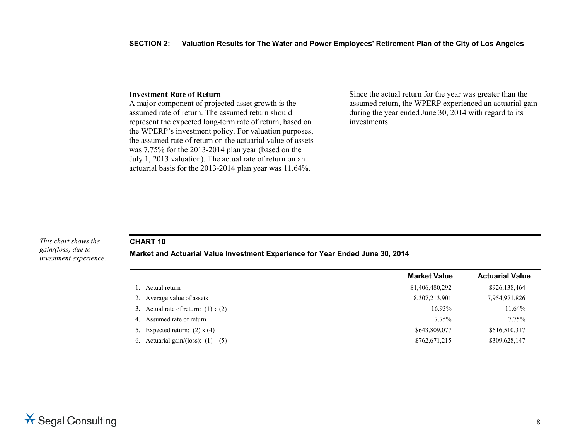#### **Investment Rate of Return**

A major component of projected asset growth is the assumed rate of return. The assumed return should represent the expected long-term rate of return, based on the WPERP's investment policy. For valuation purposes, the assumed rate of return on the actuarial value of assets was 7.75% for the 2013-2014 plan year (based on the July 1, 2013 valuation). The actual rate of return on an actuarial basis for the 2013-2014 plan year was 11.64%.

Since the actual return for the year was greater than the assumed return, the WPERP experienced an actuarial gain during the year ended June 30, 2014 with regard to its investments.

#### *This chart shows the gain/(loss) due to investment experience.*

#### **CHART 10**

#### **Market and Actuarial Value Investment Experience for Year Ended June 30, 2014**

|                                          | <b>Market Value</b> | <b>Actuarial Value</b> |
|------------------------------------------|---------------------|------------------------|
| Actual return                            | \$1,406,480,292     | \$926,138,464          |
| Average value of assets<br>2.            | 8,307,213,901       | 7,954,971,826          |
| 3. Actual rate of return: $(1) \div (2)$ | 16.93%              | 11.64%                 |
| Assumed rate of return<br>4.             | 7.75%               | 7.75%                  |
| 5. Expected return: $(2)$ x $(4)$        | \$643,809,077       | \$616,510,317          |
| 6. Actuarial gain/(loss): $(1) - (5)$    | \$762,671,215       | \$309,628,147          |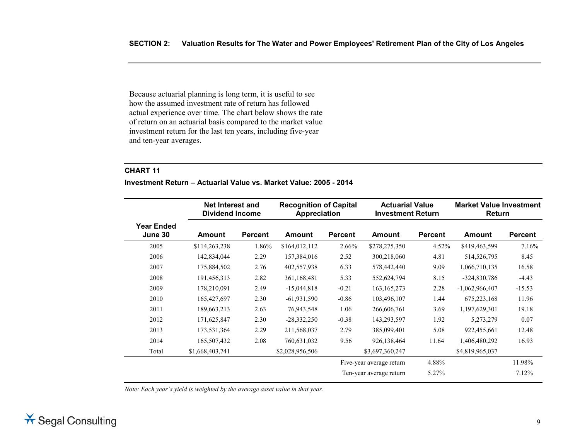Because actuarial planning is long term, it is useful to see how the assumed investment rate of return has followed actual experience over time. The chart below shows the rate of return on an actuarial basis compared to the market value investment return for the last ten years, including five-year and ten-year averages.

#### **CHART 11**

#### **Investment Return – Actuarial Value vs. Market Value: 2005 - 2014**

|                              | <b>Net Interest and</b><br><b>Dividend Income</b> |                | <b>Recognition of Capital</b><br>Appreciation |                |                          | <b>Actuarial Value</b><br><b>Investment Return</b> |                  | <b>Market Value Investment</b><br>Return |  |
|------------------------------|---------------------------------------------------|----------------|-----------------------------------------------|----------------|--------------------------|----------------------------------------------------|------------------|------------------------------------------|--|
| <b>Year Ended</b><br>June 30 | Amount                                            | <b>Percent</b> | <b>Amount</b>                                 | <b>Percent</b> | <b>Amount</b>            | <b>Percent</b>                                     | <b>Amount</b>    | <b>Percent</b>                           |  |
| 2005                         | \$114,263,238                                     | 1.86%          | \$164,012,112                                 | 2.66%          | \$278,275,350            | 4.52%                                              | \$419,463,599    | 7.16%                                    |  |
| 2006                         | 142,834,044                                       | 2.29           | 157,384,016                                   | 2.52           | 300,218,060              | 4.81                                               | 514,526,795      | 8.45                                     |  |
| 2007                         | 175,884,502                                       | 2.76           | 402,557,938                                   | 6.33           | 578,442,440              | 9.09                                               | 1,066,710,135    | 16.58                                    |  |
| 2008                         | 191,456,313                                       | 2.82           | 361, 168, 481                                 | 5.33           | 552,624,794              | 8.15                                               | $-324,830,786$   | $-4.43$                                  |  |
| 2009                         | 178,210,091                                       | 2.49           | $-15,044,818$                                 | $-0.21$        | 163, 165, 273            | 2.28                                               | $-1,062,966,407$ | $-15.53$                                 |  |
| 2010                         | 165,427,697                                       | 2.30           | $-61,931,590$                                 | $-0.86$        | 103,496,107              | 1.44                                               | 675,223,168      | 11.96                                    |  |
| 2011                         | 189,663,213                                       | 2.63           | 76,943,548                                    | 1.06           | 266,606,761              | 3.69                                               | 1,197,629,301    | 19.18                                    |  |
| 2012                         | 171,625,847                                       | 2.30           | $-28,332,250$                                 | $-0.38$        | 143,293,597              | 1.92                                               | 5,273,279        | 0.07                                     |  |
| 2013                         | 173,531,364                                       | 2.29           | 211,568,037                                   | 2.79           | 385,099,401              | 5.08                                               | 922,455,661      | 12.48                                    |  |
| 2014                         | 165,507,432                                       | 2.08           | 760,631,032                                   | 9.56           | 926,138,464              | 11.64                                              | 1,406,480,292    | 16.93                                    |  |
| Total                        | \$1,668,403,741                                   |                | \$2,028,956,506                               |                | \$3,697,360,247          |                                                    | \$4,819,965,037  |                                          |  |
|                              |                                                   |                |                                               |                | Five-year average return | 4.88%                                              |                  | 11.98%                                   |  |
|                              |                                                   |                |                                               |                | Ten-year average return  | 5.27%                                              |                  | 7.12%                                    |  |

*Note: Each year's yield is weighted by the average asset value in that year.*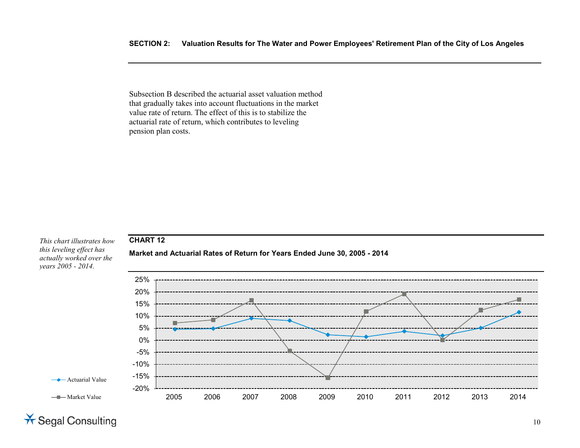Subsection B described the actuarial asset valuation method that gradually takes into account fluctuations in the market value rate of return. The effect of this is to stabilize the actuarial rate of return, which contributes to leveling pension plan costs.



10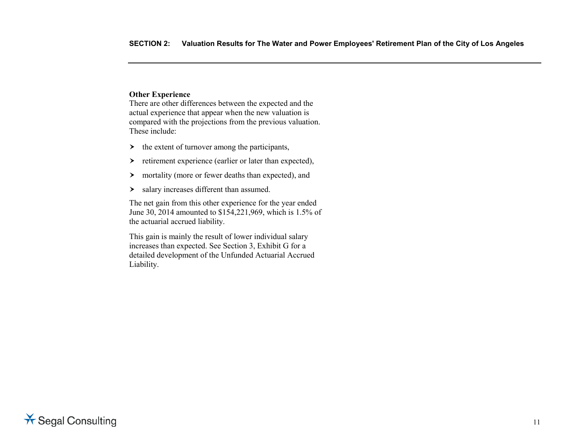# **Other Experience**

There are other differences between the expected and the actual experience that appear when the new valuation is compared with the projections from the previous valuation. These include:

- $\rightarrow$  the extent of turnover among the participants,
- $\triangleright$  retirement experience (earlier or later than expected),
- mortality (more or fewer deaths than expected), and
- > salary increases different than assumed.

The net gain from this other experience for the year ended June 30, 2014 amounted to \$154,221,969, which is 1.5% of the actuarial accrued liability.

This gain is mainly the result of lower individual salary increases than expected. See Section 3, Exhibit G for a detailed development of the Unfunded Actuarial Accrued Liability.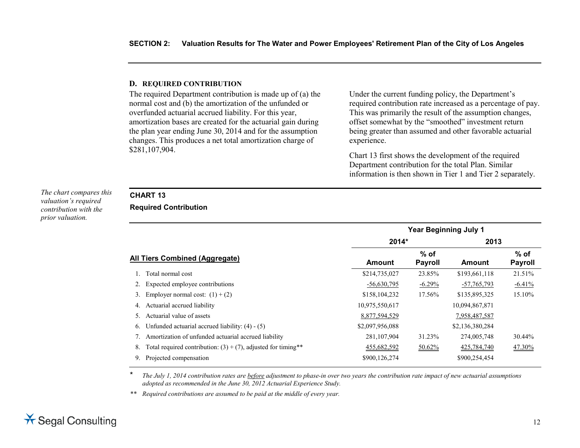#### **D. REQUIRED CONTRIBUTION**

The required Department contribution is made up of (a) the normal cost and (b) the amortization of the unfunded or overfunded actuarial accrued liability. For this year, amortization bases are created for the actuarial gain during the plan year ending June 30, 2014 and for the assumption changes. This produces a net total amortization charge of \$281,107,904.

Under the current funding policy, the Department's required contribution rate increased as a percentage of pay. This was primarily the result of the assumption changes, offset somewhat by the "smoothed" investment return being greater than assumed and other favorable actuarial experience.

Chart 13 first shows the development of the required Department contribution for the total Plan. Similar information is then shown in Tier 1 and Tier 2 separately.

*The chart compares this valuation's required contribution with the prior valuation.*

# **CHART 13**

**Required Contribution**

|                                                                        | <b>Year Beginning July 1</b> |                          |                 |                          |  |  |  |  |  |
|------------------------------------------------------------------------|------------------------------|--------------------------|-----------------|--------------------------|--|--|--|--|--|
|                                                                        | 2014*                        |                          | 2013            |                          |  |  |  |  |  |
| All Tiers Combined (Aggregate)                                         | <b>Amount</b>                | $%$ of<br><b>Payroll</b> | Amount          | $%$ of<br><b>Payroll</b> |  |  |  |  |  |
| Total normal cost                                                      | \$214,735,027                | 23.85%                   | \$193,661,118   | 21.51%                   |  |  |  |  |  |
| Expected employee contributions                                        | $-56,630,795$                | $-6.29%$                 | $-57,765,793$   | $-6.41%$                 |  |  |  |  |  |
| Employer normal cost: $(1) + (2)$<br>3.                                | \$158,104,232                | 17.56%                   | \$135,895,325   | 15.10%                   |  |  |  |  |  |
| Actuarial accrued liability<br>4.                                      | 10,975,550,617               |                          | 10,094,867,871  |                          |  |  |  |  |  |
| Actuarial value of assets                                              | 8,877,594,529                |                          | 7,958,487,587   |                          |  |  |  |  |  |
| Unfunded actuarial accrued liability: $(4) - (5)$<br>6.                | \$2,097,956,088              |                          | \$2,136,380,284 |                          |  |  |  |  |  |
| Amortization of unfunded actuarial accrued liability                   | 281,107,904                  | 31.23%                   | 274,005,748     | 30.44%                   |  |  |  |  |  |
| Total required contribution: $(3) + (7)$ , adjusted for timing**<br>8. | 455,682,592                  | 50.62%                   | 425,784,740     | 47.30%                   |  |  |  |  |  |
| Projected compensation<br>9.                                           | \$900,126,274                |                          | \$900,254,454   |                          |  |  |  |  |  |

\* *The July 1, 2014 contribution rates are before adjustment to phase-in over two years the contribution rate impact of new actuarial assumptions adopted as recommended in the June 30, 2012 Actuarial Experience Study.* 

*\*\* Required contributions are assumed to be paid at the middle of every year.*

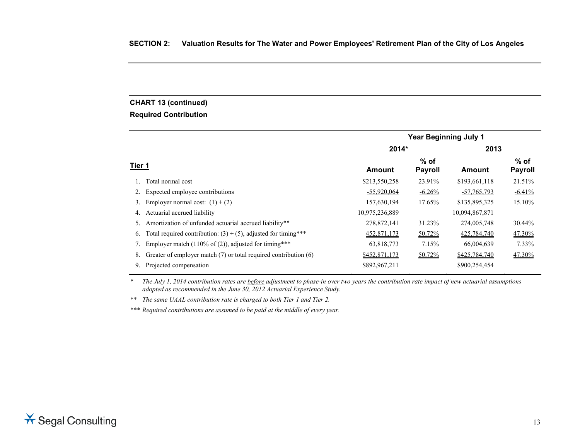# **CHART 13 (continued)**

# **Required Contribution**

|        |                                                                   |                |                          | <b>Year Beginning July 1</b> |                          |
|--------|-------------------------------------------------------------------|----------------|--------------------------|------------------------------|--------------------------|
|        |                                                                   | 2014*          |                          | 2013                         |                          |
| Tier 1 |                                                                   | <b>Amount</b>  | $%$ of<br><b>Payroll</b> | <b>Amount</b>                | $%$ of<br><b>Payroll</b> |
|        | Total normal cost                                                 | \$213,550,258  | 23.91%                   | \$193,661,118                | 21.51%                   |
| 2.     | Expected employee contributions                                   | $-55,920,064$  | $-6.26%$                 | $-57,765,793$                | $-6.41%$                 |
| 3.     | Employer normal cost: $(1) + (2)$                                 | 157,630,194    | 17.65%                   | \$135,895,325                | 15.10%                   |
| 4.     | Actuarial accrued liability                                       | 10,975,236,889 |                          | 10,094,867,871               |                          |
| 5.     | Amortization of unfunded actuarial accrued liability**            | 278,872,141    | 31.23%                   | 274,005,748                  | 30.44%                   |
| 6.     | Total required contribution: $(3) + (5)$ , adjusted for timing*** | 452,871,173    | 50.72%                   | 425,784,740                  | 47.30%                   |
|        | Employer match $(110\% \text{ of } (2))$ , adjusted for timing*** | 63,818,773     | 7.15%                    | 66,004,639                   | 7.33%                    |
| 8.     | Greater of employer match (7) or total required contribution (6)  | \$452,871,173  | 50.72%                   | \$425,784,740                | 47.30%                   |
| 9.     | Projected compensation                                            | \$892,967,211  |                          | \$900,254,454                |                          |

*\* The July 1, 2014 contribution rates are before adjustment to phase-in over two years the contribution rate impact of new actuarial assumptions adopted as recommended in the June 30, 2012 Actuarial Experience Study.* 

*\*\* The same UAAL contribution rate is charged to both Tier 1 and Tier 2.*

*\*\*\* Required contributions are assumed to be paid at the middle of every year.*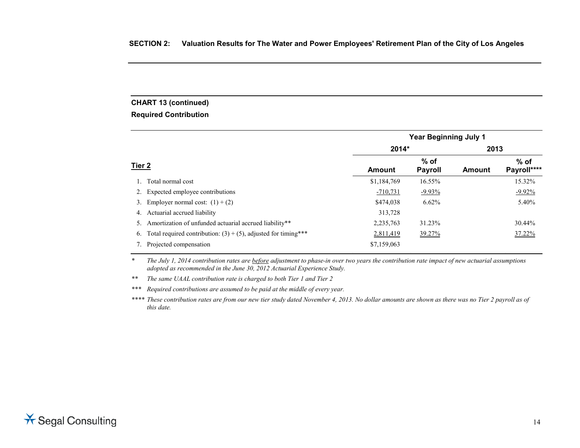# **CHART 13 (continued)**

# **Required Contribution**

|        |                                                                   |             | <b>Year Beginning July 1</b> |        |                       |
|--------|-------------------------------------------------------------------|-------------|------------------------------|--------|-----------------------|
|        |                                                                   | 2014*       |                              | 2013   |                       |
| Tier 2 |                                                                   | Amount      | % of<br><b>Payroll</b>       | Amount | $%$ of<br>Payroll**** |
|        | 1. Total normal cost                                              | \$1,184,769 | 16.55%                       |        | 15.32%                |
|        | Expected employee contributions                                   | $-710,731$  | $-9.93\%$                    |        | $-9.92\%$             |
| 3.     | Employer normal cost: $(1) + (2)$                                 | \$474,038   | 6.62%                        |        | 5.40%                 |
| 4.     | Actuarial accrued liability                                       | 313,728     |                              |        |                       |
|        | Amortization of unfunded actuarial accrued liability**            | 2,235,763   | 31.23%                       |        | 30.44%                |
| 6.     | Total required contribution: $(3) + (5)$ , adjusted for timing*** | 2,811,419   | 39.27%                       |        | 37.22%                |
|        | Projected compensation                                            | \$7,159,063 |                              |        |                       |

*\* The July 1, 2014 contribution rates are before adjustment to phase-in over two years the contribution rate impact of new actuarial assumptions adopted as recommended in the June 30, 2012 Actuarial Experience Study.* 

• • • • • •

*\*\* The same UAAL contribution rate is charged to both Tier 1 and Tier 2*

*\*\*\* Required contributions are assumed to be paid at the middle of every year.*

*\*\*\*\* These contribution rates are from our new tier study dated November 4, 2013. No dollar amounts are shown as there was no Tier 2 payroll as of this date.*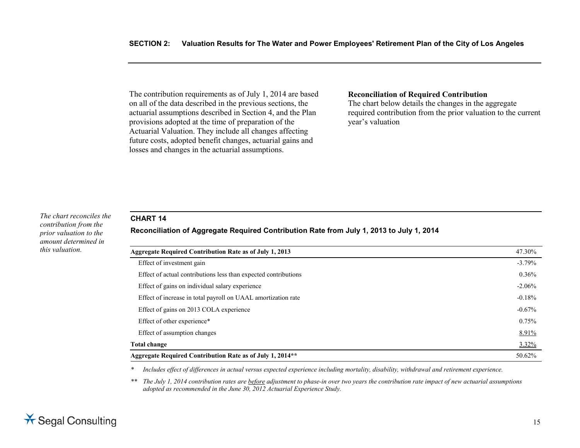The contribution requirements as of July 1, 2014 are based on all of the data described in the previous sections, the actuarial assumptions described in Section 4, and the Plan provisions adopted at the time of preparation of the Actuarial Valuation. They include all changes affecting future costs, adopted benefit changes, actuarial gains and losses and changes in the actuarial assumptions.

#### **Reconciliation of Required Contribution**

The chart below details the changes in the aggregate required contribution from the prior valuation to the current year's valuation

#### *The chart reconciles the contribution from the prior valuation to the amount determined in this valuation.*

# **CHART 14**

#### **Reconciliation of Aggregate Required Contribution Rate from July 1, 2013 to July 1, 2014**

| <b>Aggregate Required Contribution Rate as of July 1, 2013</b>  | 47.30%   |
|-----------------------------------------------------------------|----------|
| Effect of investment gain                                       | $-3.79%$ |
| Effect of actual contributions less than expected contributions | 0.36%    |
| Effect of gains on individual salary experience                 | $-2.06%$ |
| Effect of increase in total payroll on UAAL amortization rate   | $-0.18%$ |
| Effect of gains on 2013 COLA experience                         | $-0.67%$ |
| Effect of other experience*                                     | 0.75%    |
| Effect of assumption changes                                    | 8.91%    |
| <b>Total change</b>                                             | 3.32%    |
| Aggregate Required Contribution Rate as of July 1, 2014**       | 50.62%   |

*\* Includes effect of differences in actual versus expected experience including mortality, disability, withdrawal and retirement experience.*

*\*\* The July 1, 2014 contribution rates are before adjustment to phase-in over two years the contribution rate impact of new actuarial assumptions adopted as recommended in the June 30, 2012 Actuarial Experience Study.* 

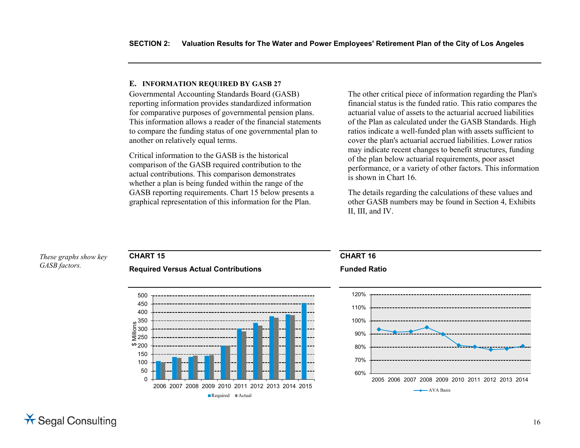#### **E. INFORMATION REQUIRED BY GASB 27**

Governmental Accounting Standards Board (GASB) reporting information provides standardized information for comparative purposes of governmental pension plans. This information allows a reader of the financial statements to compare the funding status of one governmental plan to another on relatively equal terms.

Critical information to the GASB is the historical comparison of the GASB required contribution to the actual contributions. This comparison demonstrates whether a plan is being funded within the range of the GASB reporting requirements. Chart 15 below presents a graphical representation of this information for the Plan.

The other critical piece of information regarding the Plan's financial status is the funded ratio. This ratio compares the actuarial value of assets to the actuarial accrued liabilities of the Plan as calculated under the GASB Standards. High ratios indicate a well-funded plan with assets sufficient to cover the plan's actuarial accrued liabilities. Lower ratios may indicate recent changes to benefit structures, funding of the plan below actuarial requirements, poor asset performance, or a variety of other factors. This information is shown in Chart 16.

The details regarding the calculations of these values and other GASB numbers may be found in Section 4, Exhibits II, III, and IV.

#### 60% 70% 80% 90% 100% 110% 120% 2005 2006 2007 2008 2009 2010 2011 2012 2013 2014  $\rightarrow$  AVA Basis  $\Omega$ 50 100 150  $69200$ ₹250 300  $\frac{15}{2}$  350<br> $\frac{15}{2}$  250<br> $\frac{15}{2}$  200 400 450 500 2006 2007 2008 2009 2010 2011 2012 2013 2014 2015 Required Actual **CHART 16 Funded Ratio CHART 15 Required Versus Actual Contributions** *These graphs show key GASB factors.*

# **X** Segal Consulting

#### 16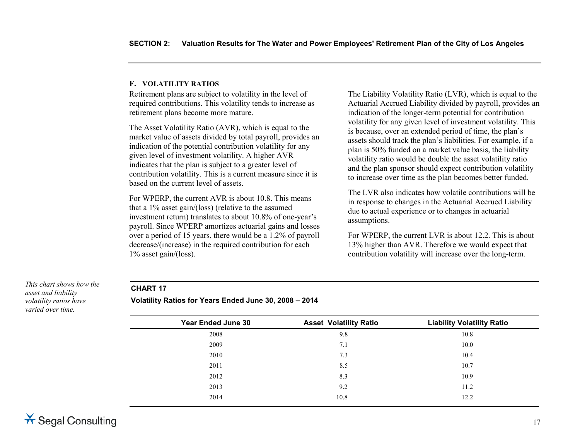### **F. VOLATILITY RATIOS**

Retirement plans are subject to volatility in the level of required contributions. This volatility tends to increase as retirement plans become more mature.

The Asset Volatility Ratio (AVR), which is equal to the market value of assets divided by total payroll, provides an indication of the potential contribution volatility for any given level of investment volatility. A higher AVR indicates that the plan is subject to a greater level of contribution volatility. This is a current measure since it is based on the current level of assets.

For WPERP, the current AVR is about 10.8. This means that a 1% asset gain/(loss) (relative to the assumed investment return) translates to about 10.8% of one-year's payroll. Since WPERP amortizes actuarial gains and losses over a period of 15 years, there would be a 1.2% of payroll decrease/(increase) in the required contribution for each 1% asset gain/(loss).

The Liability Volatility Ratio (LVR), which is equal to the Actuarial Accrued Liability divided by payroll, provides an indication of the longer-term potential for contribution volatility for any given level of investment volatility. This is because, over an extended period of time, the plan's assets should track the plan's liabilities. For example, if a plan is 50% funded on a market value basis, the liability volatility ratio would be double the asset volatility ratio and the plan sponsor should expect contribution volatility to increase over time as the plan becomes better funded.

The LVR also indicates how volatile contributions will be in response to changes in the Actuarial Accrued Liability due to actual experience or to changes in actuarial assumptions.

For WPERP, the current LVR is about 12.2. This is about 13% higher than AVR. Therefore we would expect that contribution volatility will increase over the long-term.

*This chart shows how the asset and liability volatility ratios have varied over time.*

# **CHART 17**

**Volatility Ratios for Years Ended June 30, 2008 – 2014**

| <b>Year Ended June 30</b> | <b>Asset Volatility Ratio</b> | <b>Liability Volatility Ratio</b> |
|---------------------------|-------------------------------|-----------------------------------|
| 2008                      | 9.8                           | 10.8                              |
| 2009                      | 7.1                           | 10.0                              |
| 2010                      | 7.3                           | 10.4                              |
| 2011                      | 8.5                           | 10.7                              |
| 2012                      | 8.3                           | 10.9                              |
| 2013                      | 9.2                           | 11.2                              |
| 2014                      | 10.8                          | 12.2                              |
|                           |                               |                                   |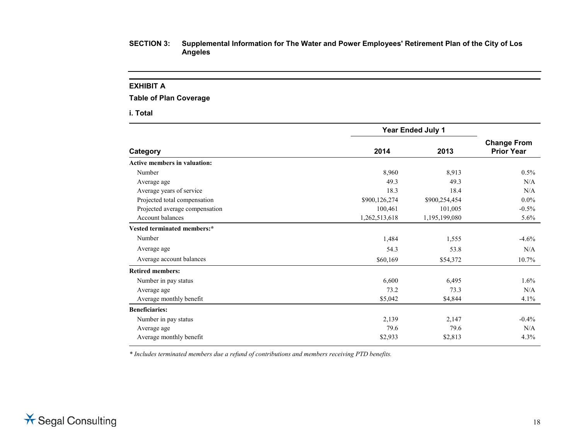#### **EXHIBIT A**

**Table of Plan Coverage**

**i. Total**

|                                     |               | <b>Year Ended July 1</b> |                                         |
|-------------------------------------|---------------|--------------------------|-----------------------------------------|
| Category                            | 2014          | 2013                     | <b>Change From</b><br><b>Prior Year</b> |
| <b>Active members in valuation:</b> |               |                          |                                         |
| Number                              | 8,960         | 8,913                    | $0.5\%$                                 |
| Average age                         | 49.3          | 49.3                     | N/A                                     |
| Average years of service            | 18.3          | 18.4                     | N/A                                     |
| Projected total compensation        | \$900,126,274 | \$900,254,454            | $0.0\%$                                 |
| Projected average compensation      | 100,461       | 101,005                  | $-0.5%$                                 |
| <b>Account balances</b>             | 1,262,513,618 | 1,195,199,080            | 5.6%                                    |
| Vested terminated members:*         |               |                          |                                         |
| Number                              | 1,484         | 1,555                    | $-4.6\%$                                |
| Average age                         | 54.3          | 53.8                     | N/A                                     |
| Average account balances            | \$60,169      | \$54,372                 | $10.7\%$                                |
| <b>Retired members:</b>             |               |                          |                                         |
| Number in pay status                | 6,600         | 6,495                    | 1.6%                                    |
| Average age                         | 73.2          | 73.3                     | N/A                                     |
| Average monthly benefit             | \$5,042       | \$4,844                  | 4.1%                                    |
| <b>Beneficiaries:</b>               |               |                          |                                         |
| Number in pay status                | 2,139         | 2,147                    | $-0.4\%$                                |
| Average age                         | 79.6          | 79.6                     | N/A                                     |
| Average monthly benefit             | \$2,933       | \$2,813                  | 4.3%                                    |

*\* Includes terminated members due a refund of contributions and members receiving PTD benefits.*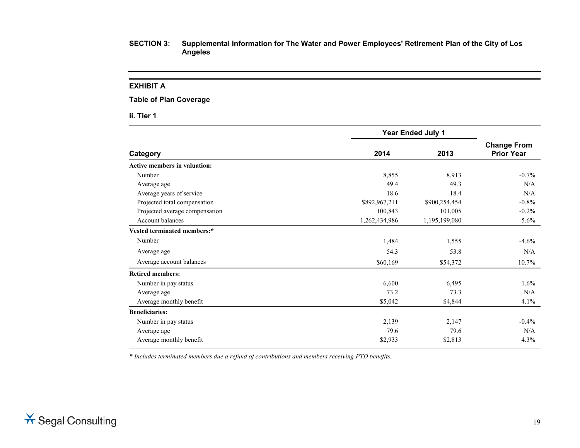#### **EXHIBIT A**

# **Table of Plan Coverage**

**ii. Tier 1**

|                                     |               | <b>Year Ended July 1</b> |                                         |
|-------------------------------------|---------------|--------------------------|-----------------------------------------|
| Category                            | 2014          | 2013                     | <b>Change From</b><br><b>Prior Year</b> |
| <b>Active members in valuation:</b> |               |                          |                                         |
| Number                              | 8,855         | 8,913                    | $-0.7%$                                 |
| Average age                         | 49.4          | 49.3                     | N/A                                     |
| Average years of service            | 18.6          | 18.4                     | N/A                                     |
| Projected total compensation        | \$892,967,211 | \$900,254,454            | $-0.8%$                                 |
| Projected average compensation      | 100,843       | 101,005                  | $-0.2%$                                 |
| Account balances                    | 1,262,434,986 | 1,195,199,080            | $5.6\%$                                 |
| Vested terminated members:*         |               |                          |                                         |
| Number                              | 1,484         | 1,555                    | $-4.6%$                                 |
| Average age                         | 54.3          | 53.8                     | N/A                                     |
| Average account balances            | \$60,169      | \$54,372                 | 10.7%                                   |
| <b>Retired members:</b>             |               |                          |                                         |
| Number in pay status                | 6,600         | 6,495                    | 1.6%                                    |
| Average age                         | 73.2          | 73.3                     | N/A                                     |
| Average monthly benefit             | \$5,042       | \$4,844                  | 4.1%                                    |
| <b>Beneficiaries:</b>               |               |                          |                                         |
| Number in pay status                | 2,139         | 2,147                    | $-0.4\%$                                |
| Average age                         | 79.6          | 79.6                     | N/A                                     |
| Average monthly benefit             | \$2,933       | \$2,813                  | 4.3%                                    |

*\* Includes terminated members due a refund of contributions and members receiving PTD benefits.*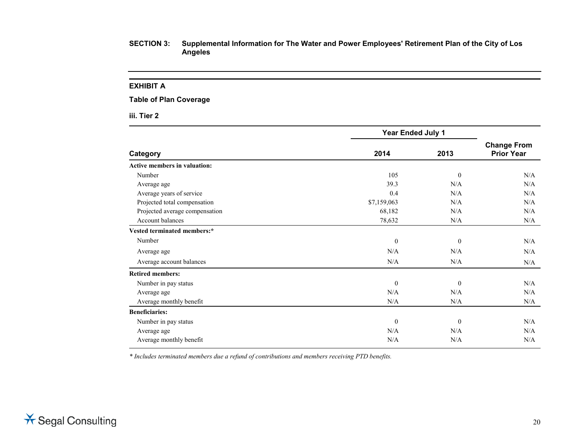#### **EXHIBIT A**

#### **Table of Plan Coverage**

**iii. Tier 2**

|                                     | Year Ended July 1 |                |                                         |
|-------------------------------------|-------------------|----------------|-----------------------------------------|
| Category                            | 2014              | 2013           | <b>Change From</b><br><b>Prior Year</b> |
| <b>Active members in valuation:</b> |                   |                |                                         |
| Number                              | 105               | $\overline{0}$ | N/A                                     |
| Average age                         | 39.3              | N/A            | N/A                                     |
| Average years of service            | 0.4               | N/A            | N/A                                     |
| Projected total compensation        | \$7,159,063       | N/A            | N/A                                     |
| Projected average compensation      | 68,182            | N/A            | N/A                                     |
| Account balances                    | 78,632            | N/A            | N/A                                     |
| Vested terminated members:*         |                   |                |                                         |
| Number                              | $\theta$          | $\overline{0}$ | N/A                                     |
| Average age                         | N/A               | N/A            | N/A                                     |
| Average account balances            | N/A               | N/A            | N/A                                     |
| <b>Retired members:</b>             |                   |                |                                         |
| Number in pay status                | $\theta$          | $\overline{0}$ | N/A                                     |
| Average age                         | N/A               | N/A            | N/A                                     |
| Average monthly benefit             | N/A               | N/A            | N/A                                     |
| <b>Beneficiaries:</b>               |                   |                |                                         |
| Number in pay status                | $\theta$          | $\mathbf{0}$   | N/A                                     |
| Average age                         | N/A               | N/A            | N/A                                     |
| Average monthly benefit             | N/A               | N/A            | N/A                                     |

*\* Includes terminated members due a refund of contributions and members receiving PTD benefits.*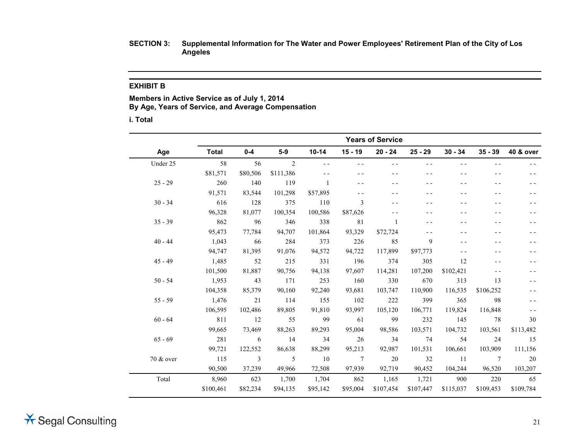# **EXHIBIT B**

**Members in Active Service as of July 1, 2014 By Age, Years of Service, and Average Compensation**

**i. Total**

|           |              |                           |           |              |                 | <b>Years of Service</b> |           |           |                 |           |
|-----------|--------------|---------------------------|-----------|--------------|-----------------|-------------------------|-----------|-----------|-----------------|-----------|
| Age       | <b>Total</b> | $0-4$                     | $5-9$     | $10 - 14$    | $15 - 19$       | $20 - 24$               | $25 - 29$ | $30 - 34$ | $35 - 39$       | 40 & over |
| Under 25  | 58           | 56                        | 2         |              |                 | - -                     | - -       |           |                 |           |
|           | \$81,571     | \$80,506                  | \$111,386 |              |                 |                         |           |           |                 |           |
| $25 - 29$ | 260          | 140                       | 119       | $\mathbf{1}$ |                 |                         |           |           |                 |           |
|           | 91,571       | 83,544                    | 101,298   | \$57,895     |                 |                         |           |           |                 |           |
| $30 - 34$ | 616          | 128                       | 375       | 110          | 3               |                         |           |           |                 |           |
|           | 96,328       | 81,077                    | 100,354   | 100,586      | \$87,626        |                         |           |           |                 |           |
| $35 - 39$ | 862          | 96                        | 346       | 338          | 81              | -1                      |           |           |                 |           |
|           | 95,473       | 77,784                    | 94,707    | 101,864      | 93,329          | \$72,724                |           |           |                 |           |
| $40 - 44$ | 1,043        | 66                        | 284       | 373          | 226             | 85                      | 9         |           |                 |           |
|           | 94,747       | 81,395                    | 91,076    | 94,572       | 94,722          | 117,899                 | \$97,773  |           |                 |           |
| $45 - 49$ | 1,485        | 52                        | 215       | 331          | 196             | 374                     | 305       | 12        |                 |           |
|           | 101,500      | 81,887                    | 90,756    | 94,138       | 97,607          | 114,281                 | 107,200   | \$102,421 |                 |           |
| $50 - 54$ | 1,953        | 43                        | 171       | 253          | 160             | 330                     | 670       | 313       | 13              |           |
|           | 104,358      | 85,379                    | 90,160    | 92,240       | 93,681          | 103,747                 | 110,900   | 116,535   | \$106,252       |           |
| $55 - 59$ | 1,476        | 21                        | 114       | 155          | 102             | 222                     | 399       | 365       | -98             |           |
|           | 106,595      | 102,486                   | 89,805    | 91,810       | 93,997          | 105,120                 | 106,771   | 119,824   | 116,848         |           |
| $60 - 64$ | 811          | 12                        | 55        | 99           | 61              | 99                      | 232       | 145       | 78              | 30        |
|           | 99,665       | 73,469                    | 88,263    | 89,293       | 95,004          | 98,586                  | 103,571   | 104,732   | 103,561         | \$113,482 |
| $65 - 69$ | 281          | $6\overline{6}$           | 14        | 34           | 26              | 34                      | 74        | 54        | 24              | 15        |
|           | 99,721       | 122,552                   | 86,638    | 88,299       | 95,213          | 92,987                  | 101,531   | 106,661   | 103,909         | 111,156   |
| 70 & over | 115          | $\overline{\phantom{a}3}$ | 5         | 10           | $7\phantom{.0}$ | 20                      | 32        | - 11      | $7\phantom{.0}$ | 20        |
|           | 90,500       | 37,239                    | 49,966    | 72,508       | 97,939          | 92,719                  | 90,452    | 104,244   | 96,520          | 103,207   |
| Total     | 8,960        | 623                       | 1,700     | 1,704        | 862             | 1,165                   | 1,721     | 900       | 220             | 65        |
|           | \$100,461    | \$82,234                  | \$94,135  | \$95,142     | \$95,004        | \$107,454               | \$107,447 | \$115,037 | \$109,453       | \$109,784 |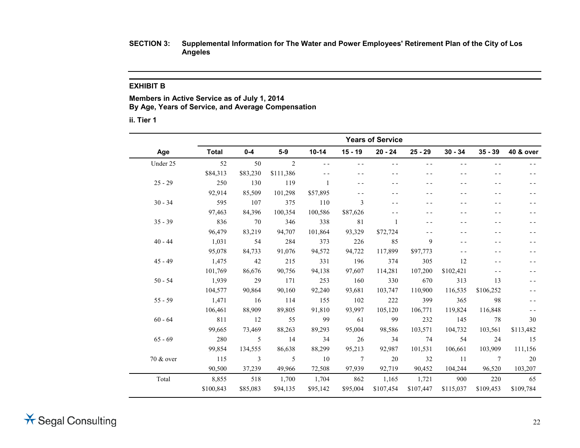### **EXHIBIT B**

**Members in Active Service as of July 1, 2014 By Age, Years of Service, and Average Compensation**

**ii. Tier 1**

|           |           |                           |           |               |                 | <b>Years of Service</b> |           |           |                 |           |
|-----------|-----------|---------------------------|-----------|---------------|-----------------|-------------------------|-----------|-----------|-----------------|-----------|
| Age       | Total     | $0-4$                     | $5-9$     | $10 - 14$     | $15 - 19$       | $20 - 24$               | $25 - 29$ | $30 - 34$ | $35 - 39$       | 40 & over |
| Under 25  | 52        | 50                        | 2         |               |                 | - -                     | - -       |           |                 |           |
|           | \$84,313  | \$83,230                  | \$111,386 |               |                 | - -                     |           |           |                 |           |
| $25 - 29$ | 250       | 130                       | 119       |               |                 |                         |           |           |                 |           |
|           | 92,914    | 85,509                    | 101,298   | \$57,895      |                 |                         |           |           |                 |           |
| $30 - 34$ | 595       | 107                       | 375       | 110           | 3               | - -                     |           |           |                 |           |
|           | 97,463    | 84,396                    | 100,354   | 100,586       | \$87,626        |                         |           |           |                 |           |
| $35 - 39$ | 836       | 70                        | 346       | 338           | 81              | -1                      |           |           |                 |           |
|           | 96,479    | 83,219                    | 94,707    | 101,864       | 93,329          | \$72,724                |           |           |                 |           |
| $40 - 44$ | 1,031     | 54                        | 284       | 373           | 226             | 85                      | 9         |           |                 |           |
|           | 95,078    | 84,733                    | 91,076    | 94,572        | 94,722          | 117,899                 | \$97,773  |           |                 |           |
| $45 - 49$ | 1,475     | 42                        | 215       | 331           | 196             | 374                     | 305       | 12        |                 |           |
|           | 101,769   | 86,676                    | 90,756    | 94,138        | 97,607          | 114,281                 | 107,200   | \$102,421 |                 |           |
| $50 - 54$ | 1,939     | 29                        | 171       | 253           | 160             | 330                     | 670       | 313       | 13              |           |
|           | 104,577   | 90,864                    | 90,160    | 92,240        | 93,681          | 103,747                 | 110,900   | 116,535   | \$106,252       |           |
| $55 - 59$ | 1,471     | 16                        | 114       | 155           | 102             | 222                     | 399       | 365       | 98              |           |
|           | 106,461   | 88,909                    | 89,805    | 91,810        | 93,997          | 105,120                 | 106,771   | 119,824   | 116,848         |           |
| $60 - 64$ | 811       | 12                        | 55        | 99            | 61              | 99                      | 232       | 145       | 78              | 30        |
|           | 99,665    | 73,469                    | 88,263    | 89,293        | 95,004          | 98,586                  | 103,571   | 104,732   | 103,561         | \$113,482 |
| $65 - 69$ | 280       | 5                         | 14        | 34            | 26              | 34                      | 74        | 54        | 24              | 15        |
|           | 99,854    | 134,555                   | 86,638    | 88,299        | 95,213          | 92,987                  | 101,531   | 106,661   | 103,909         | 111,156   |
| 70 & over | 115       | $\overline{\phantom{a}3}$ | 5         | <sup>10</sup> | $7\phantom{.0}$ | 20                      | 32        | -11       | $7\phantom{.0}$ | 20        |
|           | 90,500    | 37,239                    | 49,966    | 72,508        | 97.939          | 92,719                  | 90,452    | 104,244   | 96,520          | 103,207   |
| Total     | 8,855     | 518                       | 1,700     | 1,704         | 862             | 1,165                   | 1,721     | 900       | 220             | 65        |
|           | \$100,843 | \$85,083                  | \$94,135  | \$95,142      | \$95,004        | \$107,454               | \$107,447 | \$115,037 | \$109,453       | \$109,784 |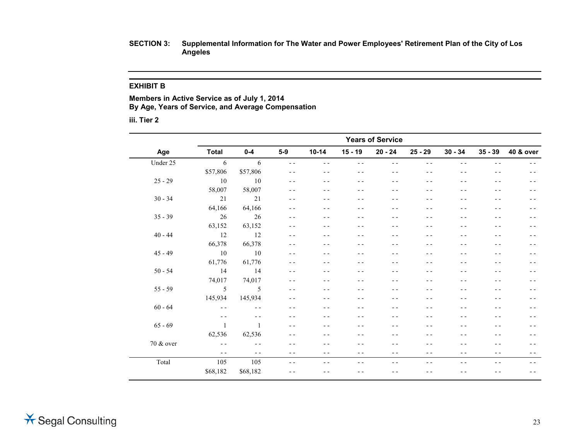#### **EXHIBIT B**

**Members in Active Service as of July 1, 2014 By Age, Years of Service, and Average Compensation**

**iii. Tier 2**

|           | <b>Years of Service</b> |                |               |           |           |           |           |           |           |           |  |  |
|-----------|-------------------------|----------------|---------------|-----------|-----------|-----------|-----------|-----------|-----------|-----------|--|--|
| Age       | <b>Total</b>            | $0-4$          | $5-9$         | $10 - 14$ | $15 - 19$ | $20 - 24$ | $25 - 29$ | $30 - 34$ | $35 - 39$ | 40 & over |  |  |
| Under 25  | 6                       | 6              | $\sim$ $\sim$ | $ -$      | $- -$     | $ -$      | $ -$      | $ -$      | $- -$     | - -       |  |  |
|           | \$57,806                | \$57,806       | $ -$          | $- -$     | $ -$      | $ -$      | $ -$      | $ -$      | $ -$      | - -       |  |  |
| $25 - 29$ | 10                      | 10             | $ -$          | $ -$      | - -       | - -       | $ -$      | - -       | - -       | - -       |  |  |
|           | 58,007                  | 58,007         | $ -$          | $ -$      | - -       | - -       | - -       | - -       |           |           |  |  |
| $30 - 34$ | 21                      | 21             | $- -$         | $- -$     | - -       | - -       | $ -$      | - -       | - -       | - -       |  |  |
|           | 64,166                  | 64,166         | $ -$          | $ -$      | - -       | - -       | - -       | - -       | - -       | - -       |  |  |
| $35 - 39$ | 26                      | 26             | $ -$          | $ -$      | - -       | - -       | - -       | - -       | - -       | - -       |  |  |
|           | 63,152                  | 63,152         | $- -$         | - -       | $ -$      | - -       | $ -$      | - -       | - -       | - -       |  |  |
| $40 - 44$ | 12                      | 12             | $ -$          | $- -$     | $- -$     | $ -$      | $ -$      | - -       | - -       | - -       |  |  |
|           | 66,378                  | 66,378         | $ -$          | $- -$     | - -       | $ -$      | $ -$      | - -       | - -       | - -       |  |  |
| $45 - 49$ | 10                      | <sup>10</sup>  | $ -$          |           | - -       | - -       | $ -$      | - -       |           | - -       |  |  |
|           | 61,776                  | 61,776         | $ -$          | - -       | - -       | - -       | - -       | - -       |           | - -       |  |  |
| $50 - 54$ | 14                      | 14             | $- -$         | $ -$      | - -       | - -       | $ -$      | - -       | - -       | - -       |  |  |
|           | 74,017                  | 74,017         | $ -$          |           | - -       | - -       | - -       | - -       |           | - -       |  |  |
| $55 - 59$ | 5                       | 5              | $ -$          | $ -$      | $ -$      | $ -$      | - -       | - -       |           | - -       |  |  |
|           | 145,934                 | 145,934        | $ -$          | $- -$     | - -       | - -       | $ -$      | - -       | $- -$     | - -       |  |  |
| $60 - 64$ | $\sim$ $\sim$           | $ -$           | $ -$          | $- -$     | - -       | - -       | $ -$      | - -       | - -       | - -       |  |  |
|           | $\sim$ $\sim$           | $ -$           | $ -$          | $ -$      | - -       | - -       | - -       | - -       |           | - -       |  |  |
| $65 - 69$ | $\overline{1}$          | $\overline{1}$ | $ -$          | - -       | - -       | - -       | - -       | - -       | - -       | - -       |  |  |
|           | 62,536                  | 62,536         | $- -$         | $ -$      | $- -$     | - -       | $ -$      | - -       | - -       | - -       |  |  |
| 70 & over | $ -$                    | $ -$           | $ -$          | $ -$      | $ -$      | - -       | - -       | - -       | - -       | - -       |  |  |
|           | $\sim$ $\sim$           | $ -$           | $ -$          | - -       | $ -$      | - -       | - -       | - -       | - -       | - -       |  |  |
| Total     | 105                     | 105            | $ -$          | $- -$     | $ -$      | $ -$      | $ -$      | $ -$      | $ -$      | $ -$      |  |  |
|           | \$68,182                | \$68,182       | $ -$          | $ -$      | - -       | $ -$      | $ -$      | - -       | $- -$     | $ -$      |  |  |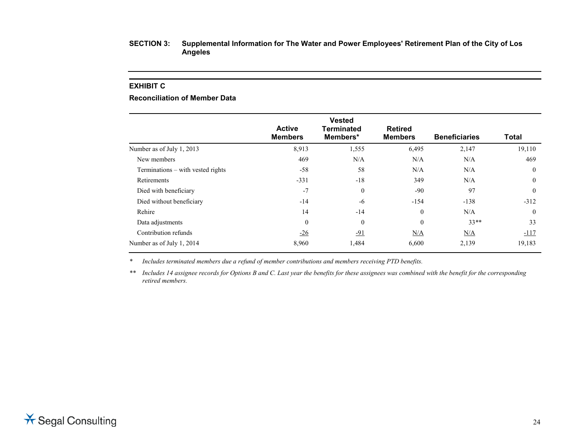#### **EXHIBIT C**

# **Reconciliation of Member Data**

|                                   | <b>Active</b>    | <b>Vested</b><br>Terminated | <b>Retired</b> |                      |                |
|-----------------------------------|------------------|-----------------------------|----------------|----------------------|----------------|
|                                   | <b>Members</b>   | Members*                    | <b>Members</b> | <b>Beneficiaries</b> | <b>Total</b>   |
| Number as of July 1, 2013         | 8,913            | 1,555                       | 6,495          | 2,147                | 19,110         |
| New members                       | 469              | N/A                         | N/A            | N/A                  | 469            |
| Terminations – with vested rights | $-58$            | 58                          | N/A            | N/A                  | $\theta$       |
| Retirements                       | $-331$           | $-18$                       | 349            | N/A                  | $\overline{0}$ |
| Died with beneficiary             | $-7$             | $\theta$                    | $-90$          | 97                   | $\theta$       |
| Died without beneficiary          | $-14$            | $-6$                        | $-154$         | $-138$               | $-312$         |
| Rehire                            | 14               | $-14$                       | $\theta$       | N/A                  | $\theta$       |
| Data adjustments                  | $\boldsymbol{0}$ | $\mathbf{0}$                | $\theta$       | $33**$               | 33             |
| Contribution refunds              | $-26$            | $-91$                       | N/A            | N/A                  | $-117$         |
| Number as of July 1, 2014         | 8,960            | 1,484                       | 6,600          | 2,139                | 19,183         |

*\* Includes terminated members due a refund of member contributions and members receiving PTD benefits.*

*\*\* Includes 14 assignee records for Options B and C. Last year the benefits for these assignees was combined with the benefit for the corresponding retired members.*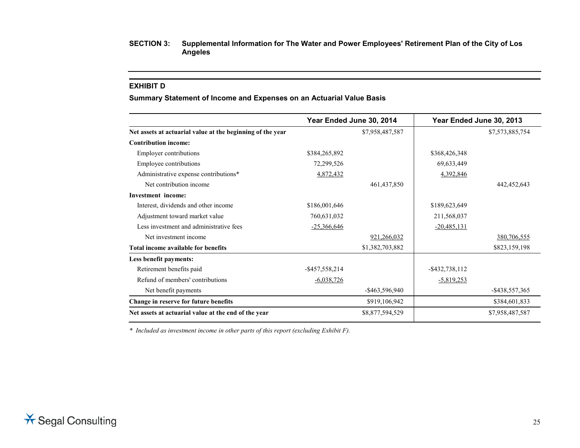#### **EXHIBIT D**

**Summary Statement of Income and Expenses on an Actuarial Value Basis**

|                                                            |                   | Year Ended June 30, 2014 |                   | Year Ended June 30, 2013 |
|------------------------------------------------------------|-------------------|--------------------------|-------------------|--------------------------|
| Net assets at actuarial value at the beginning of the year |                   | \$7,958,487,587          |                   | \$7,573,885,754          |
| <b>Contribution income:</b>                                |                   |                          |                   |                          |
| <b>Employer contributions</b>                              | \$384,265,892     |                          | \$368,426,348     |                          |
| Employee contributions                                     | 72,299,526        |                          | 69,633,449        |                          |
| Administrative expense contributions*                      | 4,872,432         |                          | 4,392,846         |                          |
| Net contribution income                                    |                   | 461, 437, 850            |                   | 442,452,643              |
| <b>Investment</b> income:                                  |                   |                          |                   |                          |
| Interest, dividends and other income                       | \$186,001,646     |                          | \$189,623,649     |                          |
| Adjustment toward market value                             | 760,631,032       |                          | 211,568,037       |                          |
| Less investment and administrative fees                    | $-25,366,646$     |                          | $-20,485,131$     |                          |
| Net investment income                                      |                   | 921,266,032              |                   | 380,706,555              |
| Total income available for benefits                        |                   | \$1,382,703,882          |                   | \$823,159,198            |
| Less benefit payments:                                     |                   |                          |                   |                          |
| Retirement benefits paid                                   | $-$ \$457,558,214 |                          | $-$ \$432,738,112 |                          |
| Refund of members' contributions                           | $-6,038,726$      |                          | -5,819,253        |                          |
| Net benefit payments                                       |                   | $-$ \$463,596,940        |                   | $-$ \$438,557,365        |
| Change in reserve for future benefits                      |                   | \$919,106,942            |                   | \$384,601,833            |
| Net assets at actuarial value at the end of the year       |                   | \$8,877,594,529          |                   | \$7,958,487,587          |

*\* Included as investment income in other parts of this report (excluding Exhibit F).*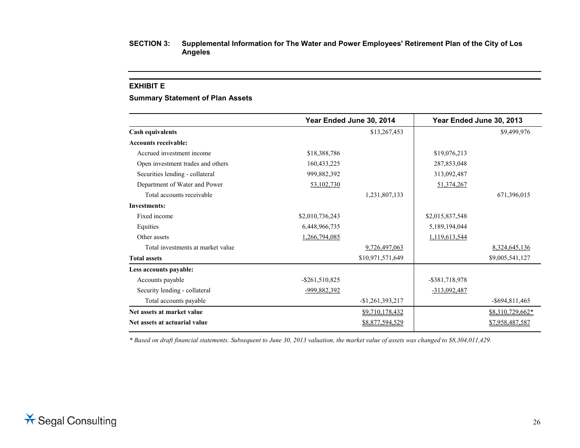#### **EXHIBIT E**

#### **Summary Statement of Plan Assets**

|                                   |                   | Year Ended June 30, 2014 |                   | Year Ended June 30, 2013 |
|-----------------------------------|-------------------|--------------------------|-------------------|--------------------------|
| <b>Cash equivalents</b>           |                   | \$13,267,453             |                   | \$9,499,976              |
| <b>Accounts receivable:</b>       |                   |                          |                   |                          |
| Accrued investment income         | \$18,388,786      |                          | \$19,076,213      |                          |
| Open investment trades and others | 160, 433, 225     |                          | 287,853,048       |                          |
| Securities lending - collateral   | 999,882,392       |                          | 313,092,487       |                          |
| Department of Water and Power     | 53,102,730        |                          | 51,374,267        |                          |
| Total accounts receivable         |                   | 1,231,807,133            |                   | 671,396,015              |
| <b>Investments:</b>               |                   |                          |                   |                          |
| Fixed income                      | \$2,010,736,243   |                          | \$2,015,837,548   |                          |
| Equities                          | 6,448,966,735     |                          | 5,189,194,044     |                          |
| Other assets                      | 1,266,794,085     |                          | 1,119,613,544     |                          |
| Total investments at market value |                   | 9,726,497,063            |                   | 8,324,645,136            |
| <b>Total assets</b>               |                   | \$10,971,571,649         |                   | \$9,005,541,127          |
| Less accounts payable:            |                   |                          |                   |                          |
| Accounts payable                  | $-$ \$261,510,825 |                          | $-$ \$381,718,978 |                          |
| Security lending - collateral     | -999,882,392      |                          | $-313,092,487$    |                          |
| Total accounts payable            |                   | $-$1,261,393,217$        |                   | $-$ \$694,811,465        |
| Net assets at market value        |                   | \$9,710,178,432          |                   | \$8,310,729,662*         |
| Net assets at actuarial value     |                   | \$8,877,594,529          |                   | \$7,958,487,587          |

*\* Based on draft financial statements. Subsequent to June 30, 2013 valuation, the market value of assets was changed to \$8,304,011,429.*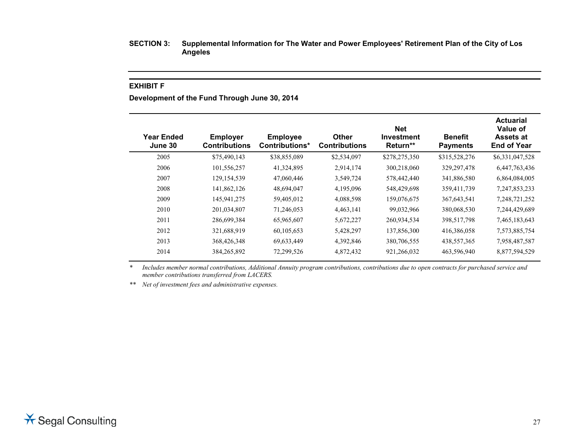#### **EXHIBIT F**

**Development of the Fund Through June 30, 2014**

| <b>Year Ended</b><br>June 30 | <b>Employer</b><br><b>Contributions</b> | <b>Employee</b><br>Contributions* | <b>Other</b><br><b>Contributions</b> | <b>Net</b><br><b>Investment</b><br>Return** | <b>Benefit</b><br><b>Payments</b> | <b>Actuarial</b><br>Value of<br><b>Assets at</b><br><b>End of Year</b> |
|------------------------------|-----------------------------------------|-----------------------------------|--------------------------------------|---------------------------------------------|-----------------------------------|------------------------------------------------------------------------|
| 2005                         | \$75,490,143                            | \$38,855,089                      | \$2,534,097                          | \$278,275,350                               | \$315,528,276                     | \$6,331,047,528                                                        |
| 2006                         | 101,556,257                             | 41,324,895                        | 2,914,174                            | 300,218,060                                 | 329, 297, 478                     | 6,447,763,436                                                          |
| 2007                         | 129,154,539                             | 47,060,446                        | 3,549,724                            | 578,442,440                                 | 341,886,580                       | 6,864,084,005                                                          |
| 2008                         | 141,862,126                             | 48,694,047                        | 4,195,096                            | 548,429,698                                 | 359,411,739                       | 7,247,853,233                                                          |
| 2009                         | 145,941,275                             | 59,405,012                        | 4,088,598                            | 159,076,675                                 | 367, 643, 541                     | 7, 248, 721, 252                                                       |
| 2010                         | 201,034,807                             | 71,246,053                        | 4,463,141                            | 99,032,966                                  | 380,068,530                       | 7,244,429,689                                                          |
| 2011                         | 286,699,384                             | 65,965,607                        | 5,672,227                            | 260,934,534                                 | 398,517,798                       | 7,465,183,643                                                          |
| 2012                         | 321,688,919                             | 60,105,653                        | 5,428,297                            | 137,856,300                                 | 416,386,058                       | 7,573,885,754                                                          |
| 2013                         | 368,426,348                             | 69,633,449                        | 4,392,846                            | 380,706,555                                 | 438,557,365                       | 7,958,487,587                                                          |
| 2014                         | 384, 265, 892                           | 72,299,526                        | 4,872,432                            | 921,266,032                                 | 463,596,940                       | 8,877,594,529                                                          |
|                              |                                         |                                   |                                      |                                             |                                   |                                                                        |

*\* Includes member normal contributions, Additional Annuity program contributions, contributions due to open contracts for purchased service and member contributions transferred from LACERS.*

*\*\* Net of investment fees and administrative expenses.*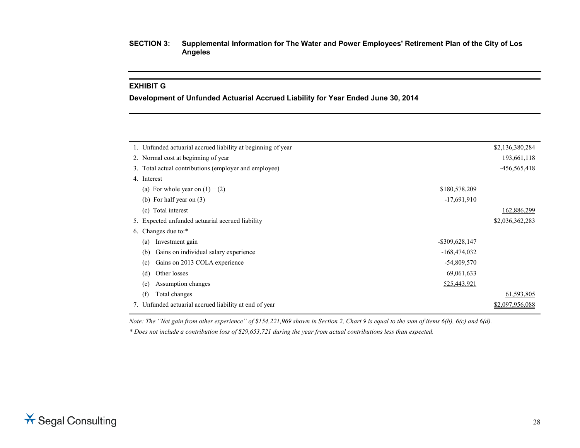# **EXHIBIT G**

**Development of Unfunded Actuarial Accrued Liability for Year Ended June 30, 2014**

| 1. Unfunded actuarial accrued liability at beginning of year |                   | \$2,136,380,284  |
|--------------------------------------------------------------|-------------------|------------------|
| 2. Normal cost at beginning of year                          |                   | 193,661,118      |
| 3. Total actual contributions (employer and employee)        |                   | $-456, 565, 418$ |
| 4. Interest                                                  |                   |                  |
| (a) For whole year on $(1) + (2)$                            | \$180,578,209     |                  |
| (b) For half year on $(3)$                                   | $-17,691,910$     |                  |
| Total interest<br>(c)                                        |                   | 162,886,299      |
| 5. Expected unfunded actuarial accrued liability             |                   | \$2,036,362,283  |
| 6. Changes due to:*                                          |                   |                  |
| Investment gain<br>(a)                                       | $-$ \$309,628,147 |                  |
| Gains on individual salary experience<br>(b)                 | $-168,474,032$    |                  |
| Gains on 2013 COLA experience<br>(c)                         | $-54,809,570$     |                  |
| Other losses<br>(d)                                          | 69,061,633        |                  |
| Assumption changes<br>(e)                                    | 525,443,921       |                  |
| (f)<br>Total changes                                         |                   | 61,593,805       |
| 7. Unfunded actuarial accrued liability at end of year       |                   | \$2,097,956,088  |
|                                                              |                   |                  |

*Note: The "Net gain from other experience" of \$154,221,969 shown in Section 2, Chart 9 is equal to the sum of items 6(b), 6(c) and 6(d).*

*\* Does not include a contribution loss of \$29,653,721 during the year from actual contributions less than expected.*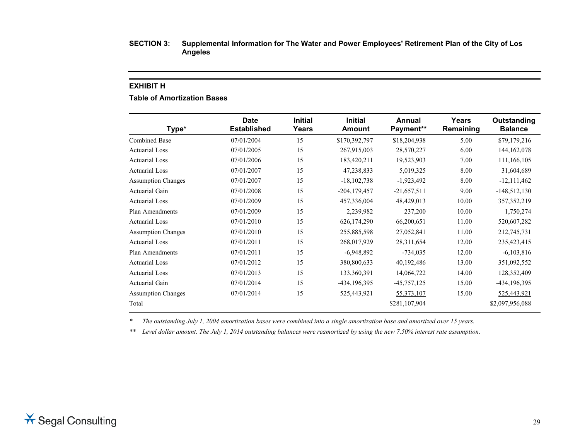#### **EXHIBIT H**

# **Table of Amortization Bases**

| Type*                     | <b>Date</b><br><b>Established</b> | <b>Initial</b><br>Years | <b>Initial</b><br>Amount | Annual<br>Payment** | Years<br>Remaining | Outstanding<br><b>Balance</b> |
|---------------------------|-----------------------------------|-------------------------|--------------------------|---------------------|--------------------|-------------------------------|
| <b>Combined Base</b>      | 07/01/2004                        | 15                      | \$170,392,797            | \$18,204,938        | 5.00               | \$79,179,216                  |
| Actuarial Loss            | 07/01/2005                        | 15                      | 267,915,003              | 28,570,227          | 6.00               | 144, 162, 078                 |
| <b>Actuarial Loss</b>     | 07/01/2006                        | 15                      | 183,420,211              | 19,523,903          | 7.00               | 111,166,105                   |
| <b>Actuarial Loss</b>     | 07/01/2007                        | 15                      | 47,238,833               | 5,019,325           | 8.00               | 31,604,689                    |
| <b>Assumption Changes</b> | 07/01/2007                        | 15                      | $-18,102,738$            | $-1,923,492$        | 8.00               | $-12, 111, 462$               |
| Actuarial Gain            | 07/01/2008                        | 15                      | $-204, 179, 457$         | $-21,657,511$       | 9.00               | $-148,512,130$                |
| <b>Actuarial Loss</b>     | 07/01/2009                        | 15                      | 457,336,004              | 48,429,013          | 10.00              | 357, 352, 219                 |
| Plan Amendments           | 07/01/2009                        | 15                      | 2,239,982                | 237,200             | 10.00              | 1,750,274                     |
| <b>Actuarial Loss</b>     | 07/01/2010                        | 15                      | 626,174,290              | 66,200,651          | 11.00              | 520,607,282                   |
| <b>Assumption Changes</b> | 07/01/2010                        | 15                      | 255,885,598              | 27,052,841          | 11.00              | 212,745,731                   |
| <b>Actuarial Loss</b>     | 07/01/2011                        | 15                      | 268,017,929              | 28,311,654          | 12.00              | 235,423,415                   |
| Plan Amendments           | 07/01/2011                        | 15                      | $-6,948,892$             | $-734,035$          | 12.00              | $-6,103,816$                  |
| <b>Actuarial Loss</b>     | 07/01/2012                        | 15                      | 380,800,633              | 40,192,486          | 13.00              | 351,092,552                   |
| <b>Actuarial Loss</b>     | 07/01/2013                        | 15                      | 133,360,391              | 14,064,722          | 14.00              | 128,352,409                   |
| <b>Actuarial Gain</b>     | 07/01/2014                        | 15                      | -434,196,395             | $-45,757,125$       | 15.00              | -434,196,395                  |
| <b>Assumption Changes</b> | 07/01/2014                        | 15                      | 525,443,921              | 55, 373, 107        | 15.00              | 525,443,921                   |
| Total                     |                                   |                         |                          | \$281,107,904       |                    | \$2,097,956,088               |

*\* The outstanding July 1, 2004 amortization bases were combined into a single amortization base and amortized over 15 years.*

*\*\* Level dollar amount. The July 1, 2014 outstanding balances were reamortized by using the new 7.50% interest rate assumption.*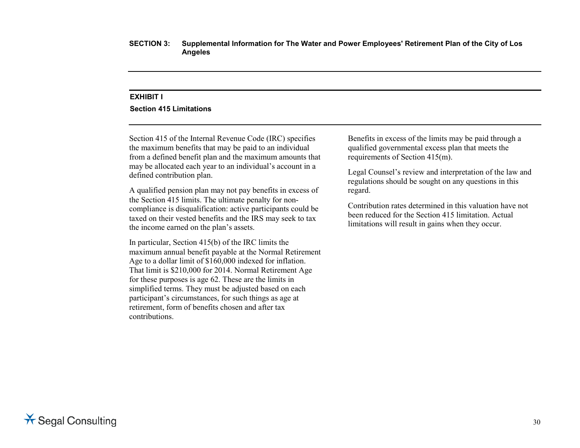#### **EXHIBIT I**

#### **Section 415 Limitations**

Section 415 of the Internal Revenue Code (IRC) specifies the maximum benefits that may be paid to an individual from a defined benefit plan and the maximum amounts that may be allocated each year to an individual's account in a defined contribution plan.

A qualified pension plan may not pay benefits in excess of the Section 415 limits. The ultimate penalty for noncompliance is disqualification: active participants could be taxed on their vested benefits and the IRS may seek to tax the income earned on the plan's assets.

In particular, Section 415(b) of the IRC limits the maximum annual benefit payable at the Normal Retirement Age to a dollar limit of \$160,000 indexed for inflation. That limit is \$210,000 for 2014. Normal Retirement Age for these purposes is age 62. These are the limits in simplified terms. They must be adjusted based on each participant's circumstances, for such things as age at retirement, form of benefits chosen and after tax contributions.

Benefits in excess of the limits may be paid through a qualified governmental excess plan that meets the requirements of Section 415(m).

Legal Counsel's review and interpretation of the law and regulations should be sought on any questions in this regard.

Contribution rates determined in this valuation have not been reduced for the Section 415 limitation. Actual limitations will result in gains when they occur.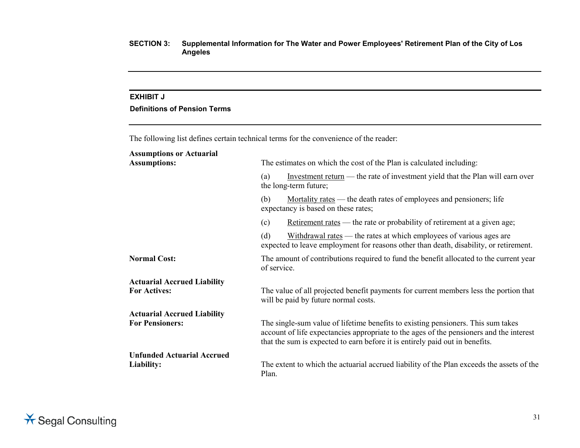## **EXHIBIT J**

# **Definitions of Pension Terms**

The following list defines certain technical terms for the convenience of the reader:

| <b>Assumptions or Actuarial</b>    |                                                                                                                                                                                                                                                             |  |  |  |  |
|------------------------------------|-------------------------------------------------------------------------------------------------------------------------------------------------------------------------------------------------------------------------------------------------------------|--|--|--|--|
| <b>Assumptions:</b>                | The estimates on which the cost of the Plan is calculated including:                                                                                                                                                                                        |  |  |  |  |
|                                    | Investment return — the rate of investment yield that the Plan will earn over<br>(a)<br>the long-term future;                                                                                                                                               |  |  |  |  |
|                                    | <u>Mortality rates</u> — the death rates of employees and pensioners; life<br>(b)<br>expectancy is based on these rates;                                                                                                                                    |  |  |  |  |
|                                    | Retirement rates — the rate or probability of retirement at a given age;<br>(c)                                                                                                                                                                             |  |  |  |  |
|                                    | (d)<br>Withdrawal rates — the rates at which employees of various ages are<br>expected to leave employment for reasons other than death, disability, or retirement.                                                                                         |  |  |  |  |
| <b>Normal Cost:</b>                | The amount of contributions required to fund the benefit allocated to the current year<br>of service.                                                                                                                                                       |  |  |  |  |
| <b>Actuarial Accrued Liability</b> |                                                                                                                                                                                                                                                             |  |  |  |  |
| <b>For Actives:</b>                | The value of all projected benefit payments for current members less the portion that<br>will be paid by future normal costs.                                                                                                                               |  |  |  |  |
| <b>Actuarial Accrued Liability</b> |                                                                                                                                                                                                                                                             |  |  |  |  |
| <b>For Pensioners:</b>             | The single-sum value of lifetime benefits to existing pensioners. This sum takes<br>account of life expectancies appropriate to the ages of the pensioners and the interest<br>that the sum is expected to earn before it is entirely paid out in benefits. |  |  |  |  |
| <b>Unfunded Actuarial Accrued</b>  |                                                                                                                                                                                                                                                             |  |  |  |  |
| Liability:                         | The extent to which the actuarial accrued liability of the Plan exceeds the assets of the<br>Plan.                                                                                                                                                          |  |  |  |  |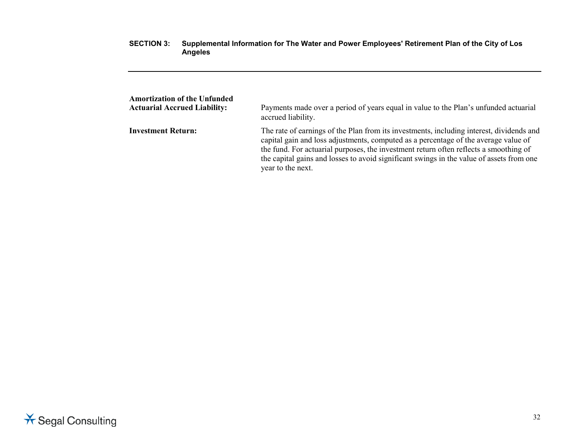| <b>Amortization of the Unfunded</b> | Payments made over a period of years equal in value to the Plan's unfunded actuarial                                                                                                                                                                                                                                                                                                      |
|-------------------------------------|-------------------------------------------------------------------------------------------------------------------------------------------------------------------------------------------------------------------------------------------------------------------------------------------------------------------------------------------------------------------------------------------|
| <b>Actuarial Accrued Liability:</b> | accrued liability.                                                                                                                                                                                                                                                                                                                                                                        |
| <b>Investment Return:</b>           | The rate of earnings of the Plan from its investments, including interest, dividends and<br>capital gain and loss adjustments, computed as a percentage of the average value of<br>the fund. For actuarial purposes, the investment return often reflects a smoothing of<br>the capital gains and losses to avoid significant swings in the value of assets from one<br>year to the next. |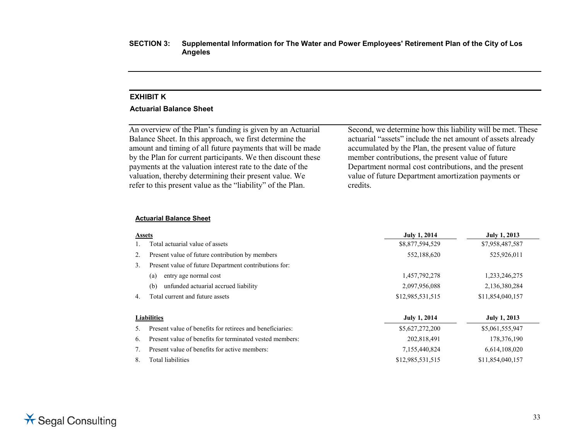#### **EXHIBIT K**

#### **Actuarial Balance Sheet**

An overview of the Plan's funding is given by an Actuarial Balance Sheet. In this approach, we first determine the amount and timing of all future payments that will be made by the Plan for current participants. We then discount these payments at the valuation interest rate to the date of the valuation, thereby determining their present value. We refer to this present value as the "liability" of the Plan.

Second, we determine how this liability will be met. These actuarial "assets" include the net amount of assets already accumulated by the Plan, the present value of future member contributions, the present value of future Department normal cost contributions, and the present value of future Department amortization payments or credits.

#### **Actuarial Balance Sheet**

| <b>Assets</b> |                                                           | <b>July 1, 2014</b> | <b>July 1, 2013</b> |
|---------------|-----------------------------------------------------------|---------------------|---------------------|
|               | Total actuarial value of assets                           | \$8,877,594,529     | \$7,958,487,587     |
| 2.            | Present value of future contribution by members           | 552,188,620         | 525,926,011         |
| 3.            | Present value of future Department contributions for:     |                     |                     |
|               | entry age normal cost<br>(a)                              | 1,457,792,278       | 1,233,246,275       |
|               | unfunded actuarial accrued liability<br>(b)               | 2,097,956,088       | 2,136,380,284       |
| 4.            | Total current and future assets                           | \$12,985,531,515    | \$11,854,040,157    |
|               | <b>Liabilities</b>                                        | <b>July 1, 2014</b> | <b>July 1, 2013</b> |
| 5.            | Present value of benefits for retirees and beneficiaries: | \$5,627,272,200     | \$5,061,555,947     |
| 6.            | Present value of benefits for terminated vested members:  | 202,818,491         | 178,376,190         |
|               | Present value of benefits for active members:             | 7,155,440,824       | 6,614,108,020       |
| 8.            | Total liabilities                                         | \$12,985,531,515    | \$11,854,040,157    |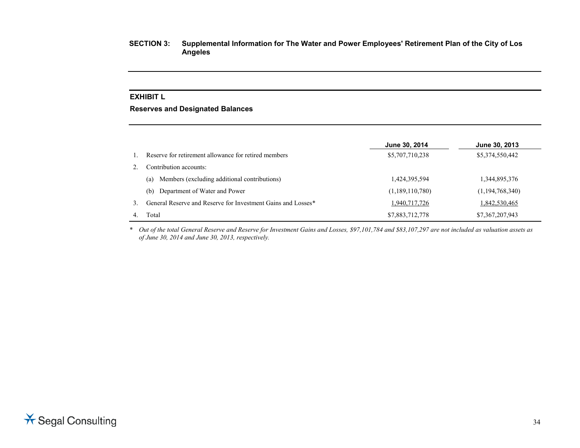# **EXHIBIT L**

#### **Reserves and Designated Balances**

|    |                                                              | June 30, 2014   | June 30, 2013   |
|----|--------------------------------------------------------------|-----------------|-----------------|
|    | Reserve for retirement allowance for retired members         | \$5,707,710,238 | \$5,374,550,442 |
|    | Contribution accounts:                                       |                 |                 |
|    | Members (excluding additional contributions)<br>(a)          | 1,424,395,594   | 1,344,895,376   |
|    | Department of Water and Power<br>(b)                         | (1,189,110,780) | (1,194,768,340) |
| 3. | General Reserve and Reserve for Investment Gains and Losses* | 1,940,717,726   | 1,842,530,465   |
|    | Total                                                        | \$7,883,712,778 | \$7,367,207,943 |

*\* Out of the total General Reserve and Reserve for Investment Gains and Losses, \$97,101,784 and \$83,107,297 are not included as valuation assets as of June 30, 2014 and June 30, 2013, respectively.*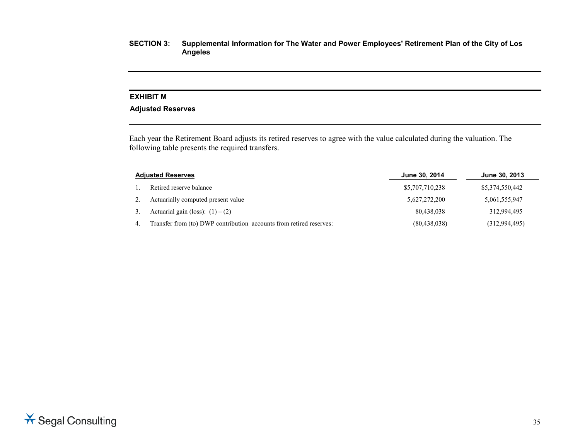# **EXHIBIT M**

# **Adjusted Reserves**

Each year the Retirement Board adjusts its retired reserves to agree with the value calculated during the valuation. The following table presents the required transfers.

| <b>Adjusted Reserves</b> |                                                                     | June 30, 2014   | June 30, 2013   |
|--------------------------|---------------------------------------------------------------------|-----------------|-----------------|
|                          | Retired reserve balance                                             | \$5,707,710,238 | \$5,374,550,442 |
|                          | Actuarially computed present value                                  | 5,627,272,200   | 5,061,555,947   |
|                          | Actuarial gain (loss): $(1) - (2)$                                  | 80.438.038      | 312.994.495     |
|                          | Transfer from (to) DWP contribution accounts from retired reserves: | (80, 438, 038)  | (312,994,495)   |

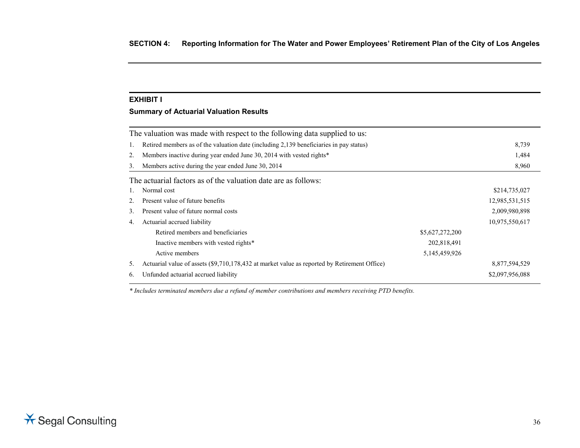# **EXHIBIT I**

# **Summary of Actuarial Valuation Results**

|              | The valuation was made with respect to the following data supplied to us:                    |                  |                 |
|--------------|----------------------------------------------------------------------------------------------|------------------|-----------------|
| 1.           | Retired members as of the valuation date (including 2,139 beneficiaries in pay status)       |                  | 8,739           |
| 2.           | Members inactive during year ended June 30, 2014 with vested rights*                         |                  | 1,484           |
| 3.           | Members active during the year ended June 30, 2014                                           |                  | 8,960           |
|              | The actuarial factors as of the valuation date are as follows:                               |                  |                 |
| $\mathbf{L}$ | Normal cost                                                                                  |                  | \$214,735,027   |
| 2.           | Present value of future benefits                                                             |                  | 12,985,531,515  |
| 3.           | Present value of future normal costs                                                         |                  | 2,009,980,898   |
| 4.           | Actuarial accrued liability                                                                  |                  | 10,975,550,617  |
|              | Retired members and beneficiaries                                                            | \$5,627,272,200  |                 |
|              | Inactive members with vested rights*                                                         | 202,818,491      |                 |
|              | Active members                                                                               | 5, 145, 459, 926 |                 |
| 5.           | Actuarial value of assets (\$9,710,178,432 at market value as reported by Retirement Office) |                  | 8,877,594,529   |
| 6.           | Unfunded actuarial accrued liability                                                         |                  | \$2,097,956,088 |
|              |                                                                                              |                  |                 |

*\* Includes terminated members due a refund of member contributions and members receiving PTD benefits.*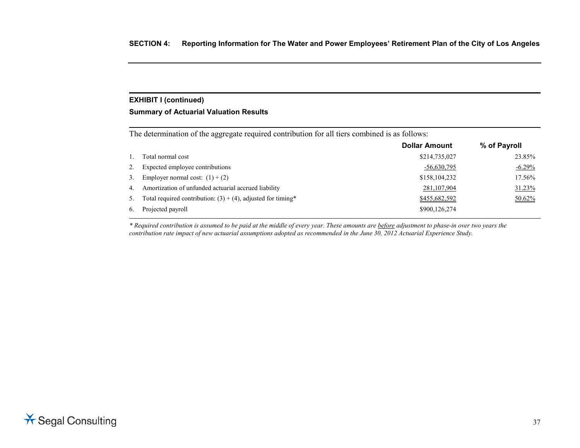# **EXHIBIT I (continued)**

#### **Summary of Actuarial Valuation Results**

The determination of the aggregate required contribution for all tiers combined is as follows:

|                |                                                                 | <b>Dollar Amount</b> | % of Payroll |
|----------------|-----------------------------------------------------------------|----------------------|--------------|
|                | Total normal cost                                               | \$214,735,027        | 23.85%       |
| 2.             | Expected employee contributions                                 | $-56,630,795$        | $-6.29\%$    |
| 3.             | Employer normal cost: $(1) + (2)$                               | \$158,104,232        | 17.56%       |
| 4 <sub>1</sub> | Amortization of unfunded actuarial accrued liability            | 281,107,904          | $31.23\%$    |
| 5.             | Total required contribution: $(3) + (4)$ , adjusted for timing* | \$455,682,592        | $50.62\%$    |
| 6.             | Projected payroll                                               | \$900,126,274        |              |

*\* Required contribution is assumed to be paid at the middle of every year. These amounts are before adjustment to phase-in over two years the contribution rate impact of new actuarial assumptions adopted as recommended in the June 30, 2012 Actuarial Experience Study.*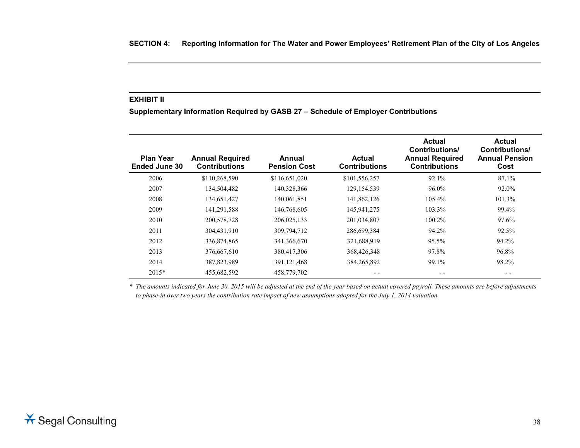# **EXHIBIT II**

**Supplementary Information Required by GASB 27 – Schedule of Employer Contributions**

| <b>Plan Year</b>     | <b>Annual Required</b> | Annual              | <b>Actual</b>        | <b>Actual</b><br><b>Contributions/</b><br><b>Annual Required</b> | <b>Actual</b><br><b>Contributions/</b><br><b>Annual Pension</b> |
|----------------------|------------------------|---------------------|----------------------|------------------------------------------------------------------|-----------------------------------------------------------------|
| <b>Ended June 30</b> | <b>Contributions</b>   | <b>Pension Cost</b> | <b>Contributions</b> | <b>Contributions</b>                                             | Cost                                                            |
| 2006                 | \$110,268,590          | \$116,651,020       | \$101,556,257        | 92.1%                                                            | 87.1%                                                           |
| 2007                 | 134,504,482            | 140,328,366         | 129, 154, 539        | 96.0%                                                            | 92.0%                                                           |
| 2008                 | 134,651,427            | 140,061,851         | 141,862,126          | 105.4%                                                           | 101.3%                                                          |
| 2009                 | 141,291,588            | 146,768,605         | 145,941,275          | 103.3%                                                           | 99.4%                                                           |
| 2010                 | 200,578,728            | 206,025,133         | 201,034,807          | 100.2%                                                           | 97.6%                                                           |
| 2011                 | 304,431,910            | 309,794,712         | 286,699,384          | 94.2%                                                            | 92.5%                                                           |
| 2012                 | 336,874,865            | 341,366,670         | 321,688,919          | 95.5%                                                            | 94.2%                                                           |
| 2013                 | 376,667,610            | 380,417,306         | 368,426,348          | 97.8%                                                            | 96.8%                                                           |
| 2014                 | 387,823,989            | 391, 121, 468       | 384,265,892          | 99.1%                                                            | 98.2%                                                           |
| $2015*$              | 455,682,592            | 458,779,702         |                      |                                                                  | - -                                                             |

*\* The amounts indicated for June 30, 2015 will be adjusted at the end of the year based on actual covered payroll. These amounts are before adjustments to phase-in over two years the contribution rate impact of new assumptions adopted for the July 1, 2014 valuation.*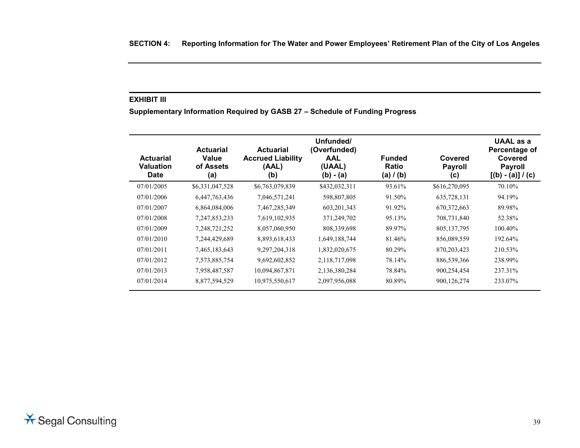# **EXHIBIT III**

**Supplementary Information Required by GASB 27 – Schedule of Funding Progress**

| <b>Actuarial</b><br>Valuation | <b>Actuarial</b><br>Value<br>of Assets | <b>Actuarial</b><br><b>Accrued Liability</b><br>(AAL) | Unfunded/<br>(Overfunded)<br><b>AAL</b><br>(UAAL) | <b>Funded</b><br>Ratio | Covered<br><b>Payroll</b> | <b>UAAL</b> as a<br>Percentage of<br>Covered<br><b>Payroll</b> |
|-------------------------------|----------------------------------------|-------------------------------------------------------|---------------------------------------------------|------------------------|---------------------------|----------------------------------------------------------------|
| <b>Date</b>                   | (a)                                    | (b)                                                   | $(b) - (a)$                                       | (a) $/$ (b)            | (C)                       | $[(b) - (a)] / (c)$                                            |
| 07/01/2005                    | \$6,331,047,528                        | \$6,763,079,839                                       | \$432,032,311                                     | 93.61%                 | \$616,270,095             | 70.10%                                                         |
| 07/01/2006                    | 6,447,763,436                          | 7,046,571,241                                         | 598,807,805                                       | 91.50%                 | 635,728,131               | 94.19%                                                         |
| 07/01/2007                    | 6,864,084,006                          | 7,467,285,349                                         | 603, 201, 343                                     | 91.92%                 | 670, 372, 663             | 89.98%                                                         |
| 07/01/2008                    | 7, 247, 853, 233                       | 7,619,102,935                                         | 371,249,702                                       | 95.13%                 | 708,731,840               | 52.38%                                                         |
| 07/01/2009                    | 7,248,721,252                          | 8,057,060,950                                         | 808,339,698                                       | 89.97%                 | 805, 137, 795             | 100.40%                                                        |
| 07/01/2010                    | 7,244,429,689                          | 8,893,618,433                                         | 1,649,188,744                                     | 81.46%                 | 856,089,559               | 192.64%                                                        |
| 07/01/2011                    | 7,465,183,643                          | 9,297,204,318                                         | 1,832,020,675                                     | 80.29%                 | 870, 203, 423             | 210.53%                                                        |
| 07/01/2012                    | 7,573,885,754                          | 9,692,602,852                                         | 2,118,717,098                                     | 78.14%                 | 886,539,366               | 238.99%                                                        |
| 07/01/2013                    | 7,958,487,587                          | 10,094,867,871                                        | 2,136,380,284                                     | 78.84%                 | 900,254,454               | 237.31%                                                        |
| 07/01/2014                    | 8,877,594,529                          | 10,975,550,617                                        | 2,097,956,088                                     | 80.89%                 | 900, 126, 274             | 233.07%                                                        |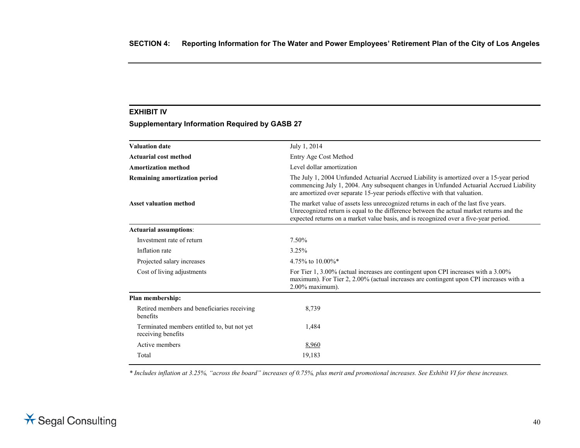# **EXHIBIT IV**

# **Supplementary Information Required by GASB 27**

| <b>Valuation date</b>                                             | July 1, 2014                                                                                                                                                                                                                                                             |
|-------------------------------------------------------------------|--------------------------------------------------------------------------------------------------------------------------------------------------------------------------------------------------------------------------------------------------------------------------|
| Actuarial cost method                                             | Entry Age Cost Method                                                                                                                                                                                                                                                    |
| <b>Amortization method</b>                                        | Level dollar amortization                                                                                                                                                                                                                                                |
| Remaining amortization period                                     | The July 1, 2004 Unfunded Actuarial Accrued Liability is amortized over a 15-year period<br>commencing July 1, 2004. Any subsequent changes in Unfunded Actuarial Accrued Liability<br>are amortized over separate 15-year periods effective with that valuation.        |
| <b>Asset valuation method</b>                                     | The market value of assets less unrecognized returns in each of the last five years.<br>Unrecognized return is equal to the difference between the actual market returns and the<br>expected returns on a market value basis, and is recognized over a five-year period. |
| Actuarial assumptions:                                            |                                                                                                                                                                                                                                                                          |
| Investment rate of return                                         | 7.50%                                                                                                                                                                                                                                                                    |
| Inflation rate                                                    | 3.25%                                                                                                                                                                                                                                                                    |
| Projected salary increases                                        | 4.75\% to 10.00\%*                                                                                                                                                                                                                                                       |
| Cost of living adjustments                                        | For Tier 1, 3.00% (actual increases are contingent upon CPI increases with a 3.00%)<br>maximum). For Tier 2, 2.00% (actual increases are contingent upon CPI increases with a<br>$2.00\%$ maximum).                                                                      |
| Plan membership:                                                  |                                                                                                                                                                                                                                                                          |
| Retired members and beneficiaries receiving<br>benefits           | 8,739                                                                                                                                                                                                                                                                    |
| Terminated members entitled to, but not yet<br>receiving benefits | 1,484                                                                                                                                                                                                                                                                    |
| Active members                                                    | 8,960                                                                                                                                                                                                                                                                    |
| Total                                                             | 19,183                                                                                                                                                                                                                                                                   |

*\* Includes inflation at 3.25%, "across the board" increases of 0.75%, plus merit and promotional increases. See Exhibit VI for these increases.*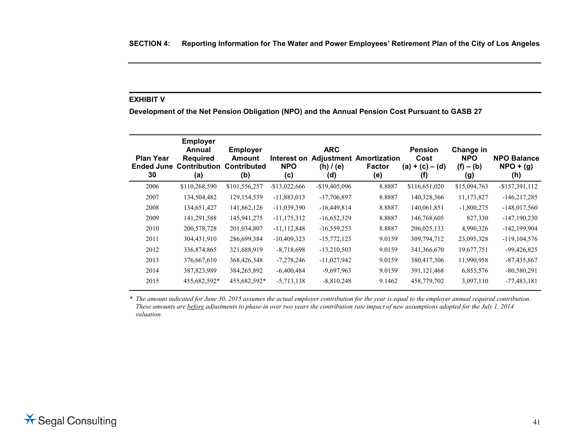# **EXHIBIT V**

**Development of the Net Pension Obligation (NPO) and the Annual Pension Cost Pursuant to GASB 27**

| <b>Plan Year</b><br><b>Ended June</b><br>30 | <b>Employer</b><br>Annual<br><b>Required</b><br><b>Contribution</b><br>(a) | <b>Employer</b><br><b>Amount</b><br><b>Contributed</b><br>(b) | Interest on<br><b>NPO</b><br>(c) | <b>ARC</b><br><b>Adiustment</b><br>$(h)$ / (e)<br>(d) | Amortization<br><b>Factor</b><br>(e) | <b>Pension</b><br>Cost<br>$(a) + (c) - (d)$<br>(f) | Change in<br><b>NPO</b><br>$(f) - (b)$<br>(g) | <b>NPO Balance</b><br>$NPO + (g)$<br>(h) |
|---------------------------------------------|----------------------------------------------------------------------------|---------------------------------------------------------------|----------------------------------|-------------------------------------------------------|--------------------------------------|----------------------------------------------------|-----------------------------------------------|------------------------------------------|
| 2006                                        | \$110,268,590                                                              | \$101,556,257                                                 | $-$13,022,666$                   | $-$19,405,096$                                        | 8.8887                               | \$116,651,020                                      | \$15,094,763                                  | $-$157,391,112$                          |
| 2007                                        | 134,504,482                                                                | 129, 154, 539                                                 | $-11,883,013$                    | $-17,706,897$                                         | 8.8887                               | 140,328,366                                        | 11,173,827                                    | $-146,217,285$                           |
| 2008                                        | 134,651,427                                                                | 141,862,126                                                   | $-11,039,390$                    | $-16,449,814$                                         | 8.8887                               | 140,061,851                                        | $-1,800,275$                                  | $-148,017,560$                           |
| 2009                                        | 141,291,588                                                                | 145,941,275                                                   | $-11, 175, 312$                  | $-16,652,329$                                         | 8.8887                               | 146,768,605                                        | 827,330                                       | $-147, 190, 230$                         |
| 2010                                        | 200,578,728                                                                | 201,034,807                                                   | $-11, 112, 848$                  | $-16,559,253$                                         | 8.8887                               | 206,025,133                                        | 4,990,326                                     | $-142, 199, 904$                         |
| 2011                                        | 304,431,910                                                                | 286,699,384                                                   | $-10,409,323$                    | $-15,772,125$                                         | 9.0159                               | 309,794,712                                        | 23,095,328                                    | $-119, 104, 576$                         |
| 2012                                        | 336,874,865                                                                | 321,688,919                                                   | $-8,718,698$                     | $-13,210,503$                                         | 9.0159                               | 341,366,670                                        | 19,677,751                                    | $-99,426,825$                            |
| 2013                                        | 376,667,610                                                                | 368,426,348                                                   | $-7,278,246$                     | $-11,027,942$                                         | 9.0159                               | 380,417,306                                        | 11,990,958                                    | $-87,435,867$                            |
| 2014                                        | 387,823,989                                                                | 384, 265, 892                                                 | $-6,400,484$                     | $-9,697,963$                                          | 9.0159                               | 391,121,468                                        | 6,855,576                                     | $-80,580,291$                            |
| 2015                                        | 455,682,592*                                                               | 455,682,592*                                                  | $-5,713,138$                     | $-8,810,248$                                          | 9.1462                               | 458,779,702                                        | 3,097,110                                     | $-77,483,181$                            |

*\* The amount indicated for June 30, 2015 assumes the actual employer contribution for the year is equal to the employer annual required contribution. These amounts are before adjustments to phase-in over two years the contribution rate impact of new assumptions adopted for the July 1, 2014 valuation.*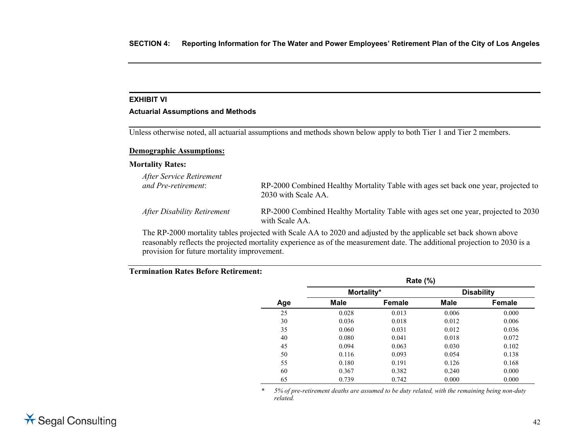# **EXHIBIT VI**

#### **Actuarial Assumptions and Methods**

Unless otherwise noted, all actuarial assumptions and methods shown below apply to both Tier 1 and Tier 2 members.

#### **Demographic Assumptions:**

#### **Mortality Rates:**

| After Service Retirement<br>and Pre-retirement: | RP-2000 Combined Healthy Mortality Table with ages set back one year, projected to<br>2030 with Scale AA. |
|-------------------------------------------------|-----------------------------------------------------------------------------------------------------------|
| After Disability Retirement                     | RP-2000 Combined Healthy Mortality Table with ages set one year, projected to 2030<br>with Scale AA.      |
|                                                 |                                                                                                           |

The RP-2000 mortality tables projected with Scale AA to 2020 and adjusted by the applicable set back shown above reasonably reflects the projected mortality experience as of the measurement date. The additional projection to 2030 is a provision for future mortality improvement.

# **Termination Rates Before Retirement:**

|     |            | <b>Rate (%)</b> |       |                   |
|-----|------------|-----------------|-------|-------------------|
|     | Mortality* |                 |       | <b>Disability</b> |
| Age | Male       | <b>Female</b>   | Male  | Female            |
| 25  | 0.028      | 0.013           | 0.006 | 0.000             |
| 30  | 0.036      | 0.018           | 0.012 | 0.006             |
| 35  | 0.060      | 0.031           | 0.012 | 0.036             |
| 40  | 0.080      | 0.041           | 0.018 | 0.072             |
| 45  | 0.094      | 0.063           | 0.030 | 0.102             |
| 50  | 0.116      | 0.093           | 0.054 | 0.138             |
| 55  | 0.180      | 0.191           | 0.126 | 0.168             |
| 60  | 0.367      | 0.382           | 0.240 | 0.000             |
| 65  | 0.739      | 0.742           | 0.000 | 0.000             |

*\* 5% of pre-retirement deaths are assumed to be duty related, with the remaining being non-duty related.*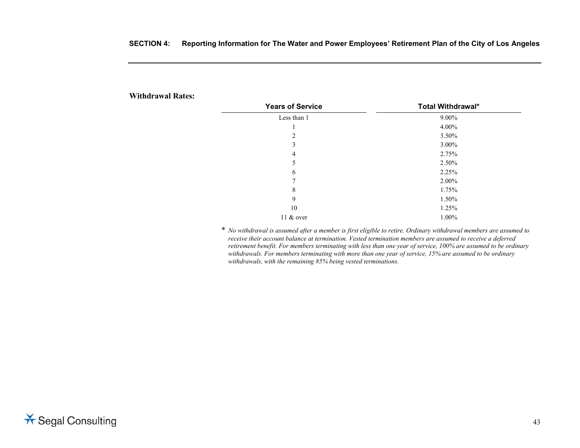| <b>Withdrawal Rates:</b> |  |
|--------------------------|--|
|--------------------------|--|

| <b>Years of Service</b> | Total Withdrawal* |
|-------------------------|-------------------|
| Less than 1             | $9.00\%$          |
|                         | 4.00%             |
| 2                       | 3.50%             |
| 3                       | 3.00%             |
| 4                       | 2.75%             |
| 5                       | 2.50%             |
| 6                       | 2.25%             |
| 7                       | 2.00%             |
| 8                       | 1.75%             |
| 9                       | 1.50%             |
| 10                      | 1.25%             |
| 11 & over               | 1.00%             |

\* *No withdrawal is assumed after a member is first eligible to retire. Ordinary withdrawal members are assumed to receive their account balance at termination. Vested termination members are assumed to receive a deferred retirement benefit. For members terminating with less than one year of service, 100% are assumed to be ordinary withdrawals. For members terminating with more than one year of service, 15% are assumed to be ordinary withdrawals, with the remaining 85% being vested terminations.*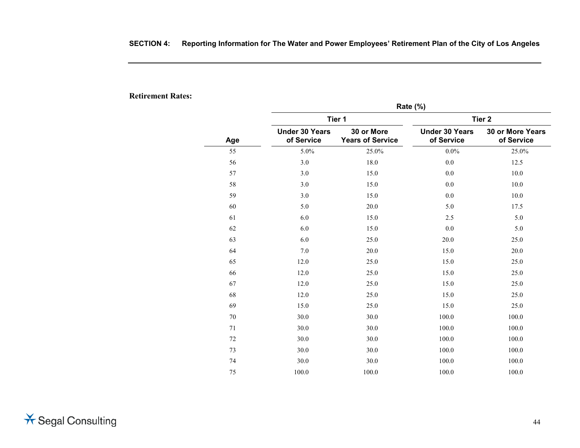**Retirement Rates:**

|     | Rate (%)                            |                                       |                                     |                                       |  |  |  |
|-----|-------------------------------------|---------------------------------------|-------------------------------------|---------------------------------------|--|--|--|
|     |                                     | Tier 1                                | Tier <sub>2</sub>                   |                                       |  |  |  |
| Age | <b>Under 30 Years</b><br>of Service | 30 or More<br><b>Years of Service</b> | <b>Under 30 Years</b><br>of Service | <b>30 or More Years</b><br>of Service |  |  |  |
| 55  | 5.0%                                | 25.0%                                 | $0.0\%$                             | 25.0%                                 |  |  |  |
| 56  | 3.0                                 | 18.0                                  | $0.0\,$                             | 12.5                                  |  |  |  |
| 57  | 3.0                                 | 15.0                                  | 0.0                                 | 10.0                                  |  |  |  |
| 58  | 3.0                                 | 15.0                                  | 0.0                                 | 10.0                                  |  |  |  |
| 59  | 3.0                                 | 15.0                                  | 0.0                                 | 10.0                                  |  |  |  |
| 60  | 5.0                                 | 20.0                                  | 5.0                                 | 17.5                                  |  |  |  |
| 61  | 6.0                                 | 15.0                                  | 2.5                                 | 5.0                                   |  |  |  |
| 62  | 6.0                                 | 15.0                                  | $0.0\,$                             | 5.0                                   |  |  |  |
| 63  | 6.0                                 | 25.0                                  | 20.0                                | 25.0                                  |  |  |  |
| 64  | 7.0                                 | 20.0                                  | 15.0                                | 20.0                                  |  |  |  |
| 65  | 12.0                                | 25.0                                  | 15.0                                | 25.0                                  |  |  |  |
| 66  | 12.0                                | 25.0                                  | 15.0                                | 25.0                                  |  |  |  |
| 67  | 12.0                                | 25.0                                  | 15.0                                | 25.0                                  |  |  |  |
| 68  | 12.0                                | 25.0                                  | 15.0                                | 25.0                                  |  |  |  |
| 69  | 15.0                                | 25.0                                  | 15.0                                | 25.0                                  |  |  |  |
| 70  | 30.0                                | 30.0                                  | 100.0                               | 100.0                                 |  |  |  |
| 71  | 30.0                                | 30.0                                  | 100.0                               | 100.0                                 |  |  |  |
| 72  | 30.0                                | 30.0                                  | 100.0                               | 100.0                                 |  |  |  |
| 73  | 30.0                                | 30.0                                  | 100.0                               | 100.0                                 |  |  |  |
| 74  | 30.0                                | 30.0                                  | 100.0                               | 100.0                                 |  |  |  |
| 75  | 100.0                               | 100.0                                 | 100.0                               | 100.0                                 |  |  |  |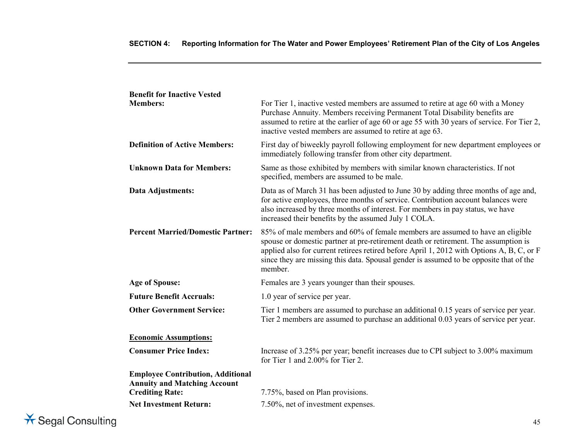| <b>Benefit for Inactive Vested</b>                                                                        |                                                                                                                                                                                                                                                                                                                                                                        |
|-----------------------------------------------------------------------------------------------------------|------------------------------------------------------------------------------------------------------------------------------------------------------------------------------------------------------------------------------------------------------------------------------------------------------------------------------------------------------------------------|
| <b>Members:</b>                                                                                           | For Tier 1, inactive vested members are assumed to retire at age 60 with a Money<br>Purchase Annuity. Members receiving Permanent Total Disability benefits are<br>assumed to retire at the earlier of age 60 or age 55 with 30 years of service. For Tier 2,<br>inactive vested members are assumed to retire at age 63.                                              |
| <b>Definition of Active Members:</b>                                                                      | First day of biweekly payroll following employment for new department employees or<br>immediately following transfer from other city department.                                                                                                                                                                                                                       |
| <b>Unknown Data for Members:</b>                                                                          | Same as those exhibited by members with similar known characteristics. If not<br>specified, members are assumed to be male.                                                                                                                                                                                                                                            |
| Data Adjustments:                                                                                         | Data as of March 31 has been adjusted to June 30 by adding three months of age and,<br>for active employees, three months of service. Contribution account balances were<br>also increased by three months of interest. For members in pay status, we have<br>increased their benefits by the assumed July 1 COLA.                                                     |
| <b>Percent Married/Domestic Partner:</b>                                                                  | 85% of male members and 60% of female members are assumed to have an eligible<br>spouse or domestic partner at pre-retirement death or retirement. The assumption is<br>applied also for current retirees retired before April 1, 2012 with Options A, B, C, or F<br>since they are missing this data. Spousal gender is assumed to be opposite that of the<br>member. |
| <b>Age of Spouse:</b>                                                                                     | Females are 3 years younger than their spouses.                                                                                                                                                                                                                                                                                                                        |
| <b>Future Benefit Accruals:</b>                                                                           | 1.0 year of service per year.                                                                                                                                                                                                                                                                                                                                          |
| <b>Other Government Service:</b>                                                                          | Tier 1 members are assumed to purchase an additional 0.15 years of service per year.<br>Tier 2 members are assumed to purchase an additional 0.03 years of service per year.                                                                                                                                                                                           |
| <b>Economic Assumptions:</b>                                                                              |                                                                                                                                                                                                                                                                                                                                                                        |
| <b>Consumer Price Index:</b>                                                                              | Increase of 3.25% per year, benefit increases due to CPI subject to 3.00% maximum<br>for Tier 1 and $2.00\%$ for Tier 2.                                                                                                                                                                                                                                               |
| <b>Employee Contribution, Additional</b><br><b>Annuity and Matching Account</b><br><b>Crediting Rate:</b> | 7.75%, based on Plan provisions.                                                                                                                                                                                                                                                                                                                                       |
| <b>Net Investment Return:</b>                                                                             | 7.50%, net of investment expenses.                                                                                                                                                                                                                                                                                                                                     |

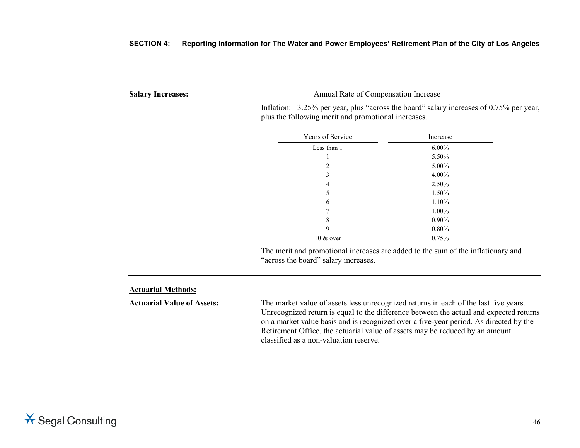**Salary Increases:** Annual Rate of Compensation Increase

Inflation: 3.25% per year, plus "across the board" salary increases of 0.75% per year, plus the following merit and promotional increases.

| Years of Service | Increase |  |
|------------------|----------|--|
| Less than 1      | $6.00\%$ |  |
| 1                | 5.50%    |  |
| 2                | 5.00%    |  |
| 3                | $4.00\%$ |  |
| 4                | 2.50%    |  |
| 5                | 1.50%    |  |
| 6                | 1.10%    |  |
| 7                | 1.00%    |  |
| 8                | $0.90\%$ |  |
| 9                | 0.80%    |  |
| $10 \& 0$ over   | 0.75%    |  |

The merit and promotional increases are added to the sum of the inflationary and "across the board" salary increases.

#### **Actuarial Methods:**

**Actuarial Value of Assets:** The market value of assets less unrecognized returns in each of the last five years. Unrecognized return is equal to the difference between the actual and expected returns on a market value basis and is recognized over a five-year period. As directed by the Retirement Office, the actuarial value of assets may be reduced by an amount classified as a non-valuation reserve.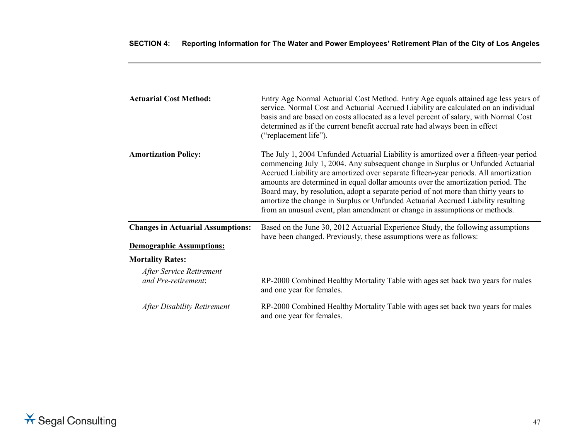| <b>Actuarial Cost Method:</b>                   | Entry Age Normal Actuarial Cost Method. Entry Age equals attained age less years of<br>service. Normal Cost and Actuarial Accrued Liability are calculated on an individual<br>basis and are based on costs allocated as a level percent of salary, with Normal Cost<br>determined as if the current benefit accrual rate had always been in effect<br>("replacement life").                                                                                                                                                                                                                                 |
|-------------------------------------------------|--------------------------------------------------------------------------------------------------------------------------------------------------------------------------------------------------------------------------------------------------------------------------------------------------------------------------------------------------------------------------------------------------------------------------------------------------------------------------------------------------------------------------------------------------------------------------------------------------------------|
| <b>Amortization Policy:</b>                     | The July 1, 2004 Unfunded Actuarial Liability is amortized over a fifteen-year period<br>commencing July 1, 2004. Any subsequent change in Surplus or Unfunded Actuarial<br>Accrued Liability are amortized over separate fifteen-year periods. All amortization<br>amounts are determined in equal dollar amounts over the amortization period. The<br>Board may, by resolution, adopt a separate period of not more than thirty years to<br>amortize the change in Surplus or Unfunded Actuarial Accrued Liability resulting<br>from an unusual event, plan amendment or change in assumptions or methods. |
| <b>Changes in Actuarial Assumptions:</b>        | Based on the June 30, 2012 Actuarial Experience Study, the following assumptions<br>have been changed. Previously, these assumptions were as follows:                                                                                                                                                                                                                                                                                                                                                                                                                                                        |
| <b>Demographic Assumptions:</b>                 |                                                                                                                                                                                                                                                                                                                                                                                                                                                                                                                                                                                                              |
| <b>Mortality Rates:</b>                         |                                                                                                                                                                                                                                                                                                                                                                                                                                                                                                                                                                                                              |
| After Service Retirement<br>and Pre-retirement: | RP-2000 Combined Healthy Mortality Table with ages set back two years for males<br>and one year for females.                                                                                                                                                                                                                                                                                                                                                                                                                                                                                                 |
| <b>After Disability Retirement</b>              | RP-2000 Combined Healthy Mortality Table with ages set back two years for males<br>and one year for females.                                                                                                                                                                                                                                                                                                                                                                                                                                                                                                 |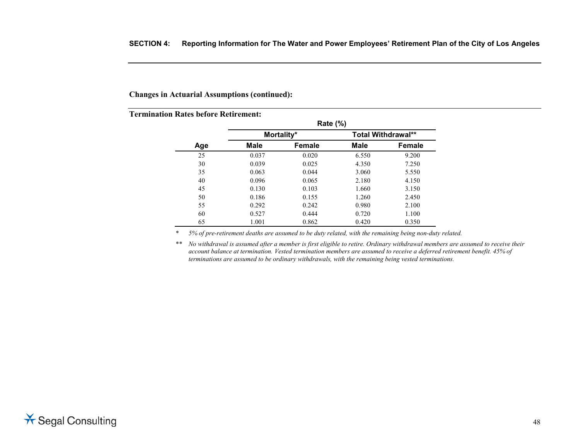#### **Changes in Actuarial Assumptions (continued):**

# **Termination Rates before Retirement:**

|     |       | <b>Rate (%)</b> |       |                           |
|-----|-------|-----------------|-------|---------------------------|
|     |       | Mortality*      |       | <b>Total Withdrawal**</b> |
| Age | Male  | Female          | Male  | Female                    |
| 25  | 0.037 | 0.020           | 6.550 | 9.200                     |
| 30  | 0.039 | 0.025           | 4.350 | 7.250                     |
| 35  | 0.063 | 0.044           | 3.060 | 5.550                     |
| 40  | 0.096 | 0.065           | 2.180 | 4.150                     |
| 45  | 0.130 | 0.103           | 1.660 | 3.150                     |
| 50  | 0.186 | 0.155           | 1.260 | 2.450                     |
| 55  | 0.292 | 0.242           | 0.980 | 2.100                     |
| 60  | 0.527 | 0.444           | 0.720 | 1.100                     |
| 65  | 1.001 | 0.862           | 0.420 | 0.350                     |

*\* 5% of pre-retirement deaths are assumed to be duty related, with the remaining being non-duty related.*

*\*\* No withdrawal is assumed after a member is first eligible to retire. Ordinary withdrawal members are assumed to receive their account balance at termination. Vested termination members are assumed to receive a deferred retirement benefit. 45% of terminations are assumed to be ordinary withdrawals, with the remaining being vested terminations.*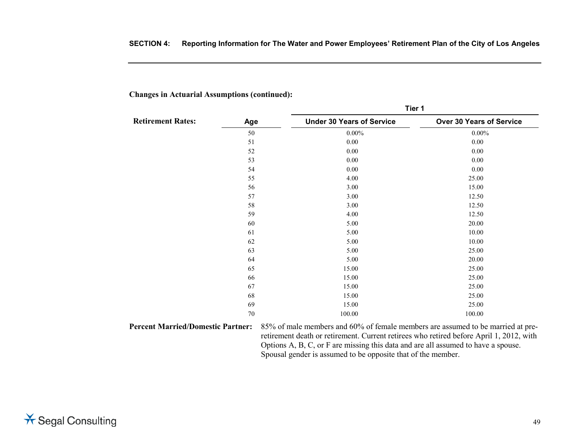**Tier 1**

|                          |     | l ler 1                          |                          |
|--------------------------|-----|----------------------------------|--------------------------|
| <b>Retirement Rates:</b> | Age | <b>Under 30 Years of Service</b> | Over 30 Years of Service |
|                          | 50  | $0.00\%$                         | $0.00\%$                 |
|                          | 51  | 0.00                             | 0.00                     |
|                          | 52  | 0.00                             | 0.00                     |
|                          | 53  | $0.00\,$                         | 0.00                     |
|                          | 54  | 0.00                             | 0.00                     |
|                          | 55  | 4.00                             | 25.00                    |
|                          | 56  | 3.00                             | 15.00                    |
|                          | 57  | 3.00                             | 12.50                    |
|                          | 58  | 3.00                             | 12.50                    |
|                          | 59  | 4.00                             | 12.50                    |
|                          | 60  | 5.00                             | 20.00                    |
|                          | 61  | 5.00                             | 10.00                    |
|                          | 62  | 5.00                             | 10.00                    |
|                          | 63  | 5.00                             | 25.00                    |
|                          | 64  | 5.00                             | 20.00                    |
|                          | 65  | 15.00                            | 25.00                    |
|                          | 66  | 15.00                            | 25.00                    |
|                          | 67  | 15.00                            | 25.00                    |
|                          | 68  | 15.00                            | 25.00                    |
|                          | 69  | 15.00                            | 25.00                    |
|                          | 70  | 100.00                           | 100.00                   |

**Changes in Actuarial Assumptions (continued):**

**Percent Married/Domestic Partner:** 85% of male members and 60% of female members are assumed to be married at preretirement death or retirement. Current retirees who retired before April 1, 2012, with Options A, B, C, or F are missing this data and are all assumed to have a spouse. Spousal gender is assumed to be opposite that of the member.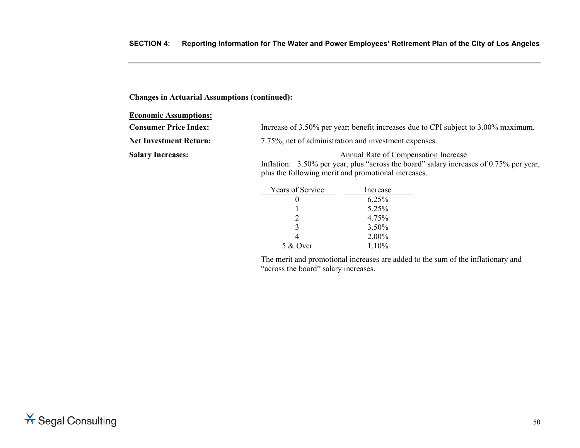# **Changes in Actuarial Assumptions (continued):**

#### **Economic Assumptions:**

| <b>Consumer Price Index:</b>  | Increase of 3.50% per year; benefit increases due to CPI subject to 3.00% maximum. |
|-------------------------------|------------------------------------------------------------------------------------|
| <b>Net Investment Return:</b> | 7.75%, net of administration and investment expenses.                              |
| <b>Salary Increases:</b>      | Annual Rate of Compensation Increase                                               |

Inflation: 3.50% per year, plus "across the board" salary increases of 0.75% per year, plus the following merit and promotional increases.

| <b>Years of Service</b> | Increase |
|-------------------------|----------|
|                         | $6.25\%$ |
|                         | 5.25%    |
|                         | 4.75%    |
| 3                       | $3.50\%$ |
|                         | 2.00%    |
| 5 & Over                | $1.10\%$ |

The merit and promotional increases are added to the sum of the inflationary and "across the board" salary increases.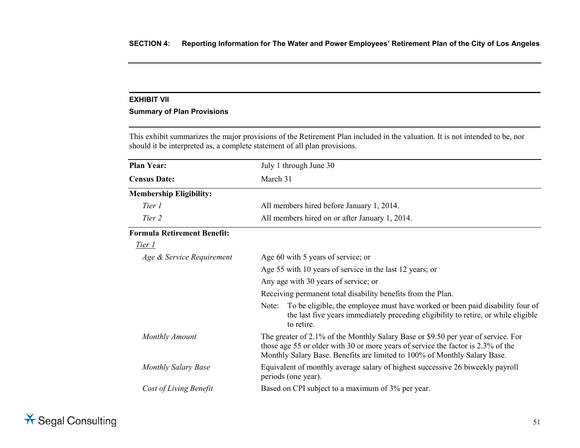# **EXHIBIT VII**

# **Summary of Plan Provisions**

This exhibit summarizes the major provisions of the Retirement Plan included in the valuation. It is not intended to be, nor should it be interpreted as, a complete statement of all plan provisions.

| <b>Plan Year:</b>                  | July 1 through June 30                                                                                                                                                                                                                             |  |
|------------------------------------|----------------------------------------------------------------------------------------------------------------------------------------------------------------------------------------------------------------------------------------------------|--|
| <b>Census Date:</b>                | March 31                                                                                                                                                                                                                                           |  |
| <b>Membership Eligibility:</b>     |                                                                                                                                                                                                                                                    |  |
| Tier 1                             | All members hired before January 1, 2014.                                                                                                                                                                                                          |  |
| Tier 2                             | All members hired on or after January 1, 2014.                                                                                                                                                                                                     |  |
| <b>Formula Retirement Benefit:</b> |                                                                                                                                                                                                                                                    |  |
| Tier 1                             |                                                                                                                                                                                                                                                    |  |
| Age & Service Requirement          | Age 60 with 5 years of service; or                                                                                                                                                                                                                 |  |
|                                    | Age 55 with 10 years of service in the last 12 years; or                                                                                                                                                                                           |  |
|                                    | Any age with 30 years of service; or                                                                                                                                                                                                               |  |
|                                    | Receiving permanent total disability benefits from the Plan.                                                                                                                                                                                       |  |
|                                    | To be eligible, the employee must have worked or been paid disability four of<br>Note:<br>the last five years immediately preceding eligibility to retire, or while eligible<br>to retire.                                                         |  |
| <b>Monthly Amount</b>              | The greater of 2.1% of the Monthly Salary Base or \$9.50 per year of service. For<br>those age 55 or older with 30 or more years of service the factor is 2.3% of the<br>Monthly Salary Base. Benefits are limited to 100% of Monthly Salary Base. |  |
| <b>Monthly Salary Base</b>         | Equivalent of monthly average salary of highest successive 26 biweekly payroll<br>periods (one year).                                                                                                                                              |  |
| Cost of Living Benefit             | Based on CPI subject to a maximum of 3% per year.                                                                                                                                                                                                  |  |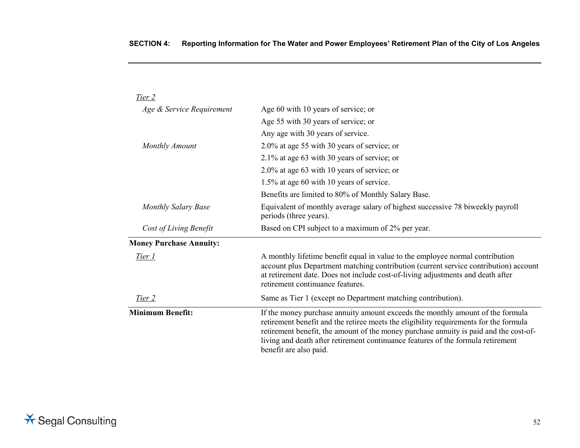| Tier 2                         |                                                                                                                                                                                                                                                                                                                                                                                |
|--------------------------------|--------------------------------------------------------------------------------------------------------------------------------------------------------------------------------------------------------------------------------------------------------------------------------------------------------------------------------------------------------------------------------|
| Age & Service Requirement      | Age 60 with 10 years of service; or                                                                                                                                                                                                                                                                                                                                            |
|                                | Age 55 with 30 years of service; or                                                                                                                                                                                                                                                                                                                                            |
|                                | Any age with 30 years of service.                                                                                                                                                                                                                                                                                                                                              |
| <b>Monthly Amount</b>          | 2.0% at age 55 with 30 years of service; or                                                                                                                                                                                                                                                                                                                                    |
|                                | 2.1% at age 63 with 30 years of service; or                                                                                                                                                                                                                                                                                                                                    |
|                                | 2.0% at age 63 with 10 years of service; or                                                                                                                                                                                                                                                                                                                                    |
|                                | 1.5% at age 60 with 10 years of service.                                                                                                                                                                                                                                                                                                                                       |
|                                | Benefits are limited to 80% of Monthly Salary Base.                                                                                                                                                                                                                                                                                                                            |
| <b>Monthly Salary Base</b>     | Equivalent of monthly average salary of highest successive 78 biweekly payroll<br>periods (three years).                                                                                                                                                                                                                                                                       |
| Cost of Living Benefit         | Based on CPI subject to a maximum of 2% per year.                                                                                                                                                                                                                                                                                                                              |
| <b>Money Purchase Annuity:</b> |                                                                                                                                                                                                                                                                                                                                                                                |
| Tier 1                         | A monthly lifetime benefit equal in value to the employee normal contribution<br>account plus Department matching contribution (current service contribution) account<br>at retirement date. Does not include cost-of-living adjustments and death after<br>retirement continuance features.                                                                                   |
| Tier 2                         | Same as Tier 1 (except no Department matching contribution).                                                                                                                                                                                                                                                                                                                   |
| <b>Minimum Benefit:</b>        | If the money purchase annuity amount exceeds the monthly amount of the formula<br>retirement benefit and the retiree meets the eligibility requirements for the formula<br>retirement benefit, the amount of the money purchase annuity is paid and the cost-of-<br>living and death after retirement continuance features of the formula retirement<br>benefit are also paid. |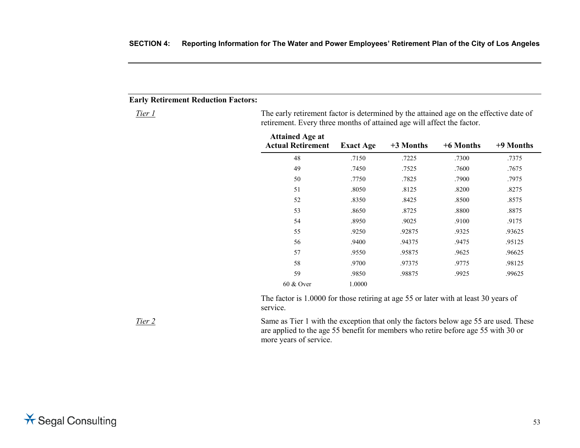### **Early Retirement Reduction Factors:**

*Tier 1* The early retirement factor is determined by the attained age on the effective date of retirement. Every three months of attained age will affect the factor.

| <b>Attained Age at</b><br><b>Actual Retirement</b> | <b>Exact Age</b> | $+3$ Months | +6 Months | +9 Months |
|----------------------------------------------------|------------------|-------------|-----------|-----------|
| 48                                                 | .7150            | .7225       | .7300     | .7375     |
| 49                                                 | .7450            | .7525       | .7600     | .7675     |
| 50                                                 | .7750            | .7825       | .7900     | .7975     |
| 51                                                 | .8050            | .8125       | .8200     | .8275     |
| 52                                                 | .8350            | .8425       | .8500     | .8575     |
| 53                                                 | .8650            | .8725       | .8800     | .8875     |
| 54                                                 | .8950            | .9025       | .9100     | .9175     |
| 55                                                 | .9250            | .92875      | .9325     | .93625    |
| 56                                                 | .9400            | .94375      | .9475     | .95125    |
| 57                                                 | .9550            | .95875      | .9625     | .96625    |
| 58                                                 | .9700            | .97375      | .9775     | .98125    |
| 59                                                 | .9850            | .98875      | .9925     | .99625    |
| 60 & Over                                          | 1.0000           |             |           |           |

The factor is 1.0000 for those retiring at age 55 or later with at least 30 years of service.

*Tier 2* Same as Tier 1 with the exception that only the factors below age 55 are used. These are applied to the age 55 benefit for members who retire before age 55 with 30 or more years of service.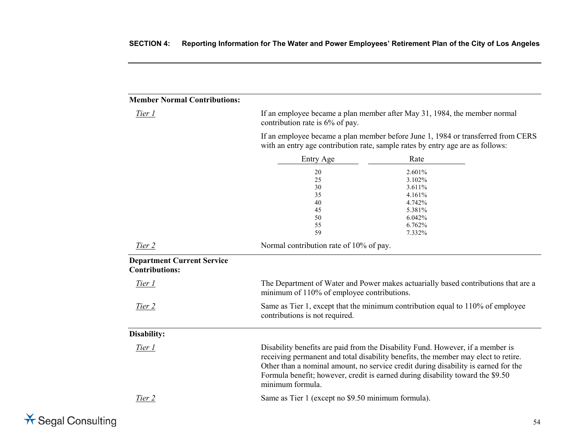# **Member Normal Contributions:**

*Tier 1* If an employee became a plan member after May 31, 1984, the member normal contribution rate is 6% of pay.

> If an employee became a plan member before June 1, 1984 or transferred from CERS with an entry age contribution rate, sample rates by entry age are as follows:

|                                                            | Entry Age                                          | Rate                                                                                                                                                                                                                                                                                                                                         |
|------------------------------------------------------------|----------------------------------------------------|----------------------------------------------------------------------------------------------------------------------------------------------------------------------------------------------------------------------------------------------------------------------------------------------------------------------------------------------|
|                                                            | 20                                                 | 2.601%                                                                                                                                                                                                                                                                                                                                       |
|                                                            | 25                                                 | 3.102%                                                                                                                                                                                                                                                                                                                                       |
|                                                            | 30                                                 | 3.611%                                                                                                                                                                                                                                                                                                                                       |
|                                                            | 35                                                 | 4.161%                                                                                                                                                                                                                                                                                                                                       |
|                                                            | 40                                                 | 4.742%                                                                                                                                                                                                                                                                                                                                       |
|                                                            | 45                                                 | 5.381%                                                                                                                                                                                                                                                                                                                                       |
|                                                            | 50                                                 | 6.042%                                                                                                                                                                                                                                                                                                                                       |
|                                                            | 55                                                 | 6.762%                                                                                                                                                                                                                                                                                                                                       |
|                                                            | 59                                                 | 7.332%                                                                                                                                                                                                                                                                                                                                       |
| Tier 2                                                     | Normal contribution rate of 10% of pay.            |                                                                                                                                                                                                                                                                                                                                              |
| <b>Department Current Service</b><br><b>Contributions:</b> |                                                    |                                                                                                                                                                                                                                                                                                                                              |
| Tier 1                                                     | minimum of 110% of employee contributions.         | The Department of Water and Power makes actuarially based contributions that are a                                                                                                                                                                                                                                                           |
| Tier 2                                                     | contributions is not required.                     | Same as Tier 1, except that the minimum contribution equal to 110% of employee                                                                                                                                                                                                                                                               |
| Disability:                                                |                                                    |                                                                                                                                                                                                                                                                                                                                              |
| Tier 1                                                     | minimum formula.                                   | Disability benefits are paid from the Disability Fund. However, if a member is<br>receiving permanent and total disability benefits, the member may elect to retire.<br>Other than a nominal amount, no service credit during disability is earned for the<br>Formula benefit; however, credit is earned during disability toward the \$9.50 |
| Tier 2                                                     | Same as Tier 1 (except no \$9.50 minimum formula). |                                                                                                                                                                                                                                                                                                                                              |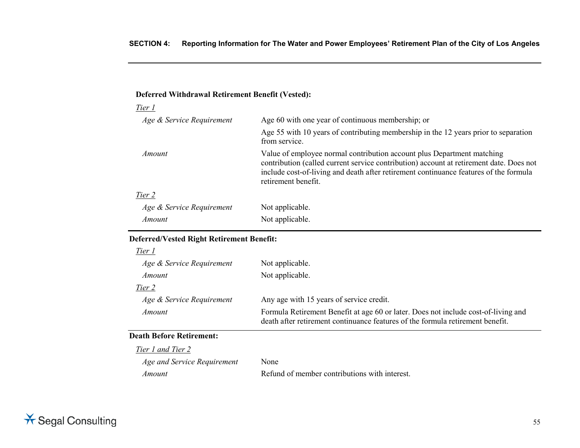# **Deferred Withdrawal Retirement Benefit (Vested):**

| Tier 1                    |                                                                                                                                                                                                                                                                                   |
|---------------------------|-----------------------------------------------------------------------------------------------------------------------------------------------------------------------------------------------------------------------------------------------------------------------------------|
| Age & Service Requirement | Age 60 with one year of continuous membership; or                                                                                                                                                                                                                                 |
|                           | Age 55 with 10 years of contributing membership in the 12 years prior to separation<br>from service.                                                                                                                                                                              |
| Amount                    | Value of employee normal contribution account plus Department matching<br>contribution (called current service contribution) account at retirement date. Does not<br>include cost-of-living and death after retirement continuance features of the formula<br>retirement benefit. |
| Tier 2                    |                                                                                                                                                                                                                                                                                   |
| Age & Service Requirement | Not applicable.                                                                                                                                                                                                                                                                   |
| Amount                    | Not applicable.                                                                                                                                                                                                                                                                   |

# **Deferred/Vested Right Retirement Benefit:**

| Tier 1                          |                                                                                                                                                                      |
|---------------------------------|----------------------------------------------------------------------------------------------------------------------------------------------------------------------|
| Age & Service Requirement       | Not applicable.                                                                                                                                                      |
| Amount                          | Not applicable.                                                                                                                                                      |
| Tier 2                          |                                                                                                                                                                      |
| Age & Service Requirement       | Any age with 15 years of service credit.                                                                                                                             |
| Amount                          | Formula Retirement Benefit at age 60 or later. Does not include cost-of-living and<br>death after retirement continuance features of the formula retirement benefit. |
| <b>Death Before Retirement:</b> |                                                                                                                                                                      |
| Tier 1 and Tier 2               |                                                                                                                                                                      |
| Age and Service Requirement     | None                                                                                                                                                                 |
| Amount                          | Refund of member contributions with interest.                                                                                                                        |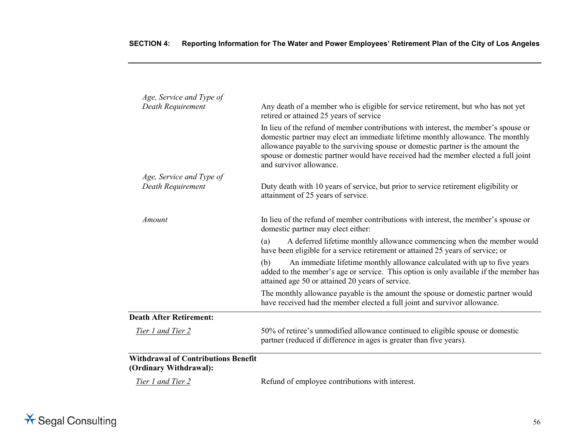| Age, Service and Type of<br>Death Requirement                        | Any death of a member who is eligible for service retirement, but who has not yet<br>retired or attained 25 years of service                                                                                                                                                                                                                                               |
|----------------------------------------------------------------------|----------------------------------------------------------------------------------------------------------------------------------------------------------------------------------------------------------------------------------------------------------------------------------------------------------------------------------------------------------------------------|
|                                                                      | In lieu of the refund of member contributions with interest, the member's spouse or<br>domestic partner may elect an immediate lifetime monthly allowance. The monthly<br>allowance payable to the surviving spouse or domestic partner is the amount the<br>spouse or domestic partner would have received had the member elected a full joint<br>and survivor allowance. |
| Age, Service and Type of                                             |                                                                                                                                                                                                                                                                                                                                                                            |
| Death Requirement                                                    | Duty death with 10 years of service, but prior to service retirement eligibility or<br>attainment of 25 years of service.                                                                                                                                                                                                                                                  |
| Amount                                                               | In lieu of the refund of member contributions with interest, the member's spouse or<br>domestic partner may elect either:                                                                                                                                                                                                                                                  |
|                                                                      | A deferred lifetime monthly allowance commencing when the member would<br>(a)<br>have been eligible for a service retirement or attained 25 years of service; or                                                                                                                                                                                                           |
|                                                                      | (b)<br>An immediate lifetime monthly allowance calculated with up to five years<br>added to the member's age or service. This option is only available if the member has<br>attained age 50 or attained 20 years of service.                                                                                                                                               |
|                                                                      | The monthly allowance payable is the amount the spouse or domestic partner would<br>have received had the member elected a full joint and survivor allowance.                                                                                                                                                                                                              |
| <b>Death After Retirement:</b>                                       |                                                                                                                                                                                                                                                                                                                                                                            |
| Tier 1 and Tier 2                                                    | 50% of retiree's unmodified allowance continued to eligible spouse or domestic<br>partner (reduced if difference in ages is greater than five years).                                                                                                                                                                                                                      |
| <b>Withdrawal of Contributions Benefit</b><br>(Ordinary Withdrawal): |                                                                                                                                                                                                                                                                                                                                                                            |
| Tier 1 and Tier 2                                                    | Refund of employee contributions with interest.                                                                                                                                                                                                                                                                                                                            |